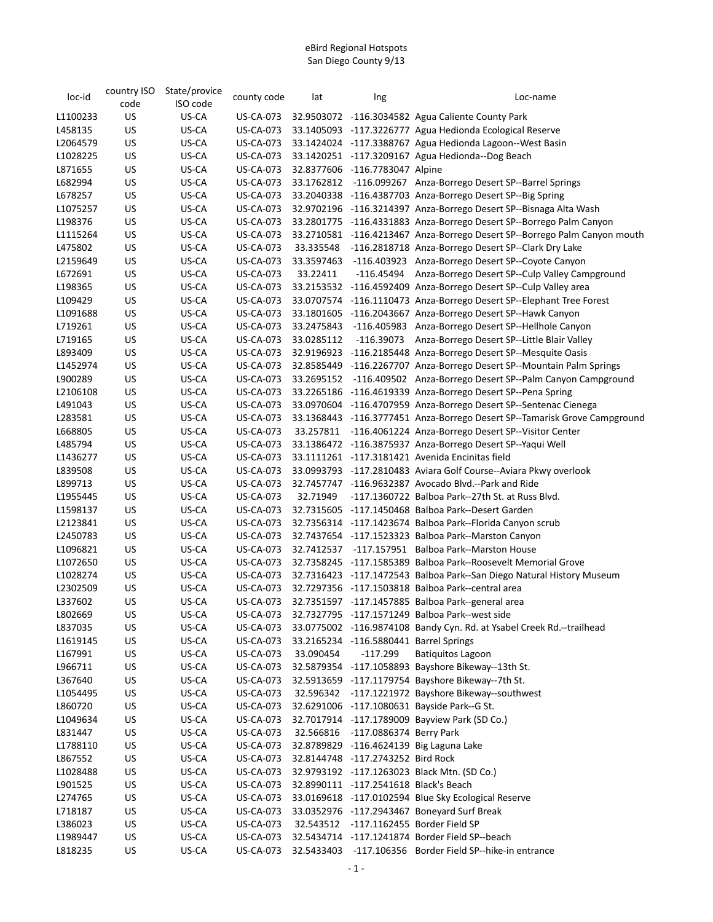| loc-id   | country ISO | State/provice | county code      | lat        | Ing                                    | Loc-name                                                                  |
|----------|-------------|---------------|------------------|------------|----------------------------------------|---------------------------------------------------------------------------|
|          | code        | ISO code      |                  |            |                                        |                                                                           |
| L1100233 | US          | US-CA         | US-CA-073        |            |                                        | 32.9503072 -116.3034582 Agua Caliente County Park                         |
| L458135  | US          | US-CA         | US-CA-073        |            |                                        | 33.1405093 -117.3226777 Agua Hedionda Ecological Reserve                  |
| L2064579 | US          | US-CA         | <b>US-CA-073</b> |            |                                        | 33.1424024 -117.3388767 Agua Hedionda Lagoon--West Basin                  |
| L1028225 | US          | US-CA         | <b>US-CA-073</b> |            |                                        | 33.1420251 -117.3209167 Agua Hedionda--Dog Beach                          |
| L871655  | US          | US-CA         | <b>US-CA-073</b> |            | 32.8377606 -116.7783047 Alpine         |                                                                           |
| L682994  | US          | US-CA         | <b>US-CA-073</b> |            |                                        | 33.1762812 -116.099267 Anza-Borrego Desert SP--Barrel Springs             |
| L678257  | US          | US-CA         | <b>US-CA-073</b> |            |                                        | 33.2040338 -116.4387703 Anza-Borrego Desert SP--Big Spring                |
| L1075257 | US          | US-CA         | US-CA-073        |            |                                        | 32.9702196 -116.3214397 Anza-Borrego Desert SP--Bisnaga Alta Wash         |
| L198376  | US          | US-CA         | US-CA-073        |            |                                        | 33.2801775 -116.4331883 Anza-Borrego Desert SP--Borrego Palm Canyon       |
| L1115264 | US          | US-CA         | US-CA-073        |            |                                        | 33.2710581 -116.4213467 Anza-Borrego Desert SP--Borrego Palm Canyon mouth |
| L475802  | US          | US-CA         | <b>US-CA-073</b> |            |                                        | 33.335548 -116.2818718 Anza-Borrego Desert SP--Clark Dry Lake             |
| L2159649 | US          | US-CA         | <b>US-CA-073</b> | 33.3597463 |                                        | -116.403923 Anza-Borrego Desert SP--Coyote Canyon                         |
| L672691  | US          | US-CA         | <b>US-CA-073</b> | 33.22411   |                                        | -116.45494 Anza-Borrego Desert SP--Culp Valley Campground                 |
| L198365  | US          | US-CA         | <b>US-CA-073</b> |            |                                        | 33.2153532 -116.4592409 Anza-Borrego Desert SP--Culp Valley area          |
| L109429  | US          | US-CA         | <b>US-CA-073</b> |            |                                        | 33.0707574 -116.1110473 Anza-Borrego Desert SP--Elephant Tree Forest      |
| L1091688 | US          | US-CA         | US-CA-073        |            |                                        | 33.1801605 -116.2043667 Anza-Borrego Desert SP--Hawk Canyon               |
| L719261  | US          | US-CA         | <b>US-CA-073</b> | 33.2475843 |                                        | -116.405983 Anza-Borrego Desert SP--Hellhole Canyon                       |
| L719165  | US          | US-CA         | US-CA-073        | 33.0285112 |                                        | -116.39073 Anza-Borrego Desert SP--Little Blair Valley                    |
| L893409  | US          | US-CA         | <b>US-CA-073</b> |            |                                        | 32.9196923 -116.2185448 Anza-Borrego Desert SP--Mesquite Oasis            |
| L1452974 | US          | US-CA         | <b>US-CA-073</b> |            |                                        | 32.8585449 -116.2267707 Anza-Borrego Desert SP--Mountain Palm Springs     |
| L900289  | US          | US-CA         | <b>US-CA-073</b> |            |                                        | 33.2695152 -116.409502 Anza-Borrego Desert SP--Palm Canyon Campground     |
| L2106108 | US          | US-CA         | <b>US-CA-073</b> |            |                                        | 33.2265186 -116.4619339 Anza-Borrego Desert SP--Pena Spring               |
| L491043  | US          | US-CA         | <b>US-CA-073</b> |            |                                        | 33.0970604 -116.4707959 Anza-Borrego Desert SP--Sentenac Cienega          |
| L283581  | US          | US-CA         | US-CA-073        |            |                                        | 33.1368443 -116.3777451 Anza-Borrego Desert SP--Tamarisk Grove Campground |
| L668805  | US          | US-CA         | US-CA-073        |            |                                        | 33.257811 -116.4061224 Anza-Borrego Desert SP--Visitor Center             |
| L485794  | US          | US-CA         | <b>US-CA-073</b> |            |                                        | 33.1386472 -116.3875937 Anza-Borrego Desert SP--Yaqui Well                |
| L1436277 | US          | US-CA         | <b>US-CA-073</b> |            |                                        | 33.1111261 -117.3181421 Avenida Encinitas field                           |
| L839508  | US          | US-CA         | <b>US-CA-073</b> |            |                                        | 33.0993793 -117.2810483 Aviara Golf Course--Aviara Pkwy overlook          |
| L899713  | US          | US-CA         |                  |            |                                        | US-CA-073 32.7457747 -116.9632387 Avocado Blvd.--Park and Ride            |
| L1955445 | US          | US-CA         | <b>US-CA-073</b> | 32.71949   |                                        | -117.1360722 Balboa Park--27th St. at Russ Blvd.                          |
| L1598137 | US          | US-CA         | <b>US-CA-073</b> |            |                                        | 32.7315605 -117.1450468 Balboa Park--Desert Garden                        |
| L2123841 | US          | US-CA         |                  |            |                                        | 32.7356314 -117.1423674 Balboa Park--Florida Canyon scrub                 |
|          |             |               | US-CA-073        |            |                                        |                                                                           |
| L2450783 | US          | US-CA         | <b>US-CA-073</b> |            |                                        | 32.7437654 -117.1523323 Balboa Park--Marston Canyon                       |
| L1096821 | US          | US-CA         | <b>US-CA-073</b> |            |                                        | 32.7412537 -117.157951 Balboa Park--Marston House                         |
| L1072650 | US          | US-CA         | <b>US-CA-073</b> |            |                                        | 32.7358245 -117.1585389 Balboa Park--Roosevelt Memorial Grove             |
| L1028274 | US          | US-CA         | <b>US-CA-073</b> |            |                                        | 32.7316423 -117.1472543 Balboa Park--San Diego Natural History Museum     |
| L2302509 | US          | US-CA         | <b>US-CA-073</b> |            |                                        | 32.7297356 -117.1503818 Balboa Park--central area                         |
| L337602  | US          | US-CA         | <b>US-CA-073</b> |            |                                        | 32.7351597 -117.1457885 Balboa Park--general area                         |
| L802669  | US          | US-CA         | <b>US-CA-073</b> |            |                                        | 32.7327795 -117.1571249 Balboa Park--west side                            |
| L837035  | US          | US-CA         | US-CA-073        |            |                                        | 33.0775002 -116.9874108 Bandy Cyn. Rd. at Ysabel Creek Rd.--trailhead     |
| L1619145 | US          | US-CA         | <b>US-CA-073</b> |            | 33.2165234 -116.5880441 Barrel Springs |                                                                           |
| L167991  | US          | US-CA         | US-CA-073        | 33.090454  | $-117.299$                             | <b>Batiquitos Lagoon</b>                                                  |
| L966711  | US          | US-CA         | <b>US-CA-073</b> |            |                                        | 32.5879354 -117.1058893 Bayshore Bikeway--13th St.                        |
| L367640  | US          | US-CA         | US-CA-073        |            |                                        | 32.5913659 -117.1179754 Bayshore Bikeway--7th St.                         |
| L1054495 | US          | US-CA         | <b>US-CA-073</b> |            |                                        | 32.596342 -117.1221972 Bayshore Bikeway--southwest                        |
| L860720  | US          | US-CA         | <b>US-CA-073</b> |            |                                        | 32.6291006 -117.1080631 Bayside Park--G St.                               |
| L1049634 | US          | US-CA         | <b>US-CA-073</b> |            |                                        | 32.7017914 -117.1789009 Bayview Park (SD Co.)                             |
| L831447  | US          | US-CA         | <b>US-CA-073</b> |            | 32.566816 -117.0886374 Berry Park      |                                                                           |
| L1788110 | US          | US-CA         | <b>US-CA-073</b> |            |                                        | 32.8789829 -116.4624139 Big Laguna Lake                                   |
| L867552  | US          | US-CA         | US-CA-073        |            | 32.8144748 -117.2743252 Bird Rock      |                                                                           |
| L1028488 | US          | US-CA         | <b>US-CA-073</b> |            |                                        | 32.9793192 -117.1263023 Black Mtn. (SD Co.)                               |
| L901525  | US          | US-CA         | <b>US-CA-073</b> |            | 32.8990111 -117.2541618 Black's Beach  |                                                                           |
| L274765  | US          | US-CA         | <b>US-CA-073</b> |            |                                        | 33.0169618 -117.0102594 Blue Sky Ecological Reserve                       |
| L718187  | US          | US-CA         | <b>US-CA-073</b> |            |                                        | 33.0352976 -117.2943467 Boneyard Surf Break                               |
| L386023  | US          | US-CA         | <b>US-CA-073</b> |            |                                        | 32.543512 -117.1162455 Border Field SP                                    |
| L1989447 | US          | US-CA         | <b>US-CA-073</b> |            |                                        | 32.5434714 -117.1241874 Border Field SP--beach                            |
| L818235  | <b>US</b>   | US-CA         | <b>US-CA-073</b> | 32.5433403 |                                        | -117.106356 Border Field SP--hike-in entrance                             |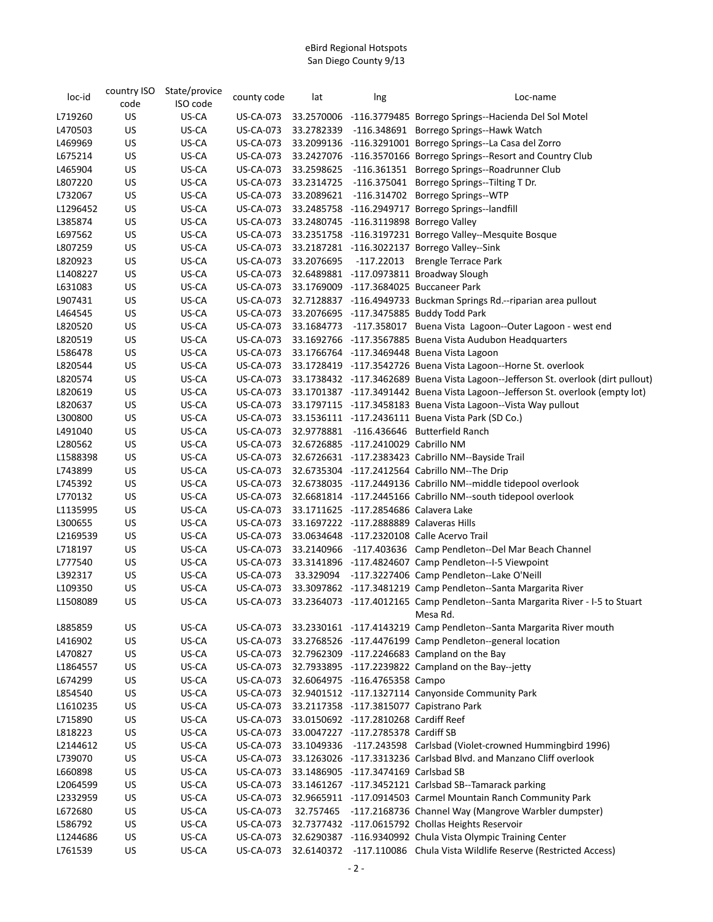| loc-id   | country ISO<br>code | State/provice<br>ISO code | county code      | lat        | Ing                                     | Loc-name                                                                          |
|----------|---------------------|---------------------------|------------------|------------|-----------------------------------------|-----------------------------------------------------------------------------------|
| L719260  | US                  | US-CA                     | US-CA-073        |            |                                         | 33.2570006 -116.3779485 Borrego Springs--Hacienda Del Sol Motel                   |
| L470503  | US                  | US-CA                     | US-CA-073        |            |                                         | 33.2782339 -116.348691 Borrego Springs--Hawk Watch                                |
| L469969  | US                  | US-CA                     | <b>US-CA-073</b> |            |                                         | 33.2099136 -116.3291001 Borrego Springs--La Casa del Zorro                        |
| L675214  | US                  | US-CA                     | <b>US-CA-073</b> |            |                                         | 33.2427076 -116.3570166 Borrego Springs--Resort and Country Club                  |
| L465904  | US                  | US-CA                     | <b>US-CA-073</b> |            |                                         | 33.2598625 -116.361351 Borrego Springs--Roadrunner Club                           |
| L807220  | US                  | US-CA                     | <b>US-CA-073</b> |            |                                         | 33.2314725 -116.375041 Borrego Springs--Tilting T Dr.                             |
| L732067  | US                  | US-CA                     | <b>US-CA-073</b> |            |                                         | 33.2089621 -116.314702 Borrego Springs--WTP                                       |
| L1296452 | US                  | US-CA                     | <b>US-CA-073</b> |            |                                         | 33.2485758 -116.2949717 Borrego Springs--landfill                                 |
| L385874  | US                  | US-CA                     | <b>US-CA-073</b> |            |                                         | 33.2480745 -116.3119898 Borrego Valley                                            |
| L697562  | US                  | US-CA                     | US-CA-073        |            |                                         | 33.2351758 -116.3197231 Borrego Valley--Mesquite Bosque                           |
| L807259  | US                  | US-CA                     | <b>US-CA-073</b> |            |                                         | 33.2187281 -116.3022137 Borrego Valley--Sink                                      |
| L820923  | US                  | US-CA                     | <b>US-CA-073</b> | 33.2076695 |                                         | -117.22013 Brengle Terrace Park                                                   |
| L1408227 | US                  | US-CA                     | <b>US-CA-073</b> |            |                                         | 32.6489881 -117.0973811 Broadway Slough                                           |
| L631083  | US                  | US-CA                     | <b>US-CA-073</b> |            |                                         | 33.1769009 -117.3684025 Buccaneer Park                                            |
| L907431  | US                  | US-CA                     | <b>US-CA-073</b> |            |                                         | 32.7128837 -116.4949733 Buckman Springs Rd.--riparian area pullout                |
| L464545  | US                  | US-CA                     | <b>US-CA-073</b> |            |                                         | 33.2076695 -117.3475885 Buddy Todd Park                                           |
| L820520  | US                  | US-CA                     | <b>US-CA-073</b> |            |                                         | 33.1684773 -117.358017 Buena Vista Lagoon--Outer Lagoon - west end                |
| L820519  | US                  | US-CA                     | US-CA-073        |            |                                         | 33.1692766 -117.3567885 Buena Vista Audubon Headquarters                          |
| L586478  | US                  | US-CA                     | <b>US-CA-073</b> |            |                                         | 33.1766764 -117.3469448 Buena Vista Lagoon                                        |
| L820544  | US                  | US-CA                     | <b>US-CA-073</b> |            |                                         | 33.1728419 -117.3542726 Buena Vista Lagoon--Horne St. overlook                    |
| L820574  | US                  | US-CA                     | <b>US-CA-073</b> |            |                                         | 33.1738432 -117.3462689 Buena Vista Lagoon--Jefferson St. overlook (dirt pullout) |
| L820619  | US                  | US-CA                     | <b>US-CA-073</b> |            |                                         | 33.1701387 -117.3491442 Buena Vista Lagoon--Jefferson St. overlook (empty lot)    |
| L820637  | US                  | US-CA                     | <b>US-CA-073</b> |            |                                         | 33.1797115 -117.3458183 Buena Vista Lagoon--Vista Way pullout                     |
| L300800  | US                  | US-CA                     | <b>US-CA-073</b> |            |                                         | 33.1536111 -117.2436111 Buena Vista Park (SD Co.)                                 |
| L491040  | US                  | US-CA                     | <b>US-CA-073</b> |            |                                         | 32.9778881 -116.436646 Butterfield Ranch                                          |
| L280562  | US                  | US-CA                     | <b>US-CA-073</b> |            | 32.6726885 -117.2410029 Cabrillo NM     |                                                                                   |
| L1588398 | US                  | US-CA                     | <b>US-CA-073</b> |            |                                         | 32.6726631 -117.2383423 Cabrillo NM--Bayside Trail                                |
| L743899  | US                  | US-CA                     | <b>US-CA-073</b> |            |                                         | 32.6735304 -117.2412564 Cabrillo NM--The Drip                                     |
| L745392  | US                  | US-CA                     | <b>US-CA-073</b> |            |                                         | 32.6738035 -117.2449136 Cabrillo NM--middle tidepool overlook                     |
| L770132  | US                  | US-CA                     | <b>US-CA-073</b> |            |                                         | 32.6681814 -117.2445166 Cabrillo NM--south tidepool overlook                      |
| L1135995 | US                  | US-CA                     | <b>US-CA-073</b> |            | 33.1711625 -117.2854686 Calavera Lake   |                                                                                   |
| L300655  | US                  | US-CA                     | <b>US-CA-073</b> |            | 33.1697222 -117.2888889 Calaveras Hills |                                                                                   |
| L2169539 | US                  | US-CA                     | <b>US-CA-073</b> |            |                                         | 33.0634648 -117.2320108 Calle Acervo Trail                                        |
| L718197  | US                  | US-CA                     | US-CA-073        |            |                                         | 33.2140966 -117.403636 Camp Pendleton--Del Mar Beach Channel                      |
| L777540  | US                  | US-CA                     | <b>US-CA-073</b> |            |                                         | 33.3141896 -117.4824607 Camp Pendleton--I-5 Viewpoint                             |
| L392317  | US                  | US-CA                     | <b>US-CA-073</b> |            |                                         | 33.329094 -117.3227406 Camp Pendleton--Lake O'Neill                               |
| L109350  | US                  | US-CA                     | <b>US-CA-073</b> |            |                                         | 33.3097862 -117.3481219 Camp Pendleton--Santa Margarita River                     |
| L1508089 | US                  | US-CA                     | <b>US-CA-073</b> |            |                                         | 33.2364073 -117.4012165 Camp Pendleton--Santa Margarita River - I-5 to Stuart     |
|          |                     |                           |                  |            |                                         | Mesa Rd.                                                                          |
| L885859  | US                  | US-CA                     | US-CA-073        |            |                                         | 33.2330161 -117.4143219 Camp Pendleton--Santa Margarita River mouth               |
| L416902  | US                  | US-CA                     | <b>US-CA-073</b> |            |                                         | 33.2768526 -117.4476199 Camp Pendleton--general location                          |
| L470827  | US                  | US-CA                     | <b>US-CA-073</b> |            |                                         | 32.7962309 -117.2246683 Campland on the Bay                                       |
| L1864557 | US                  | US-CA                     | <b>US-CA-073</b> |            |                                         | 32.7933895 -117.2239822 Campland on the Bay--jetty                                |
| L674299  | US                  | US-CA                     | <b>US-CA-073</b> |            | 32.6064975 -116.4765358 Campo           |                                                                                   |
| L854540  | US                  | US-CA                     | <b>US-CA-073</b> |            |                                         | 32.9401512 -117.1327114 Canyonside Community Park                                 |
| L1610235 | US                  | US-CA                     | <b>US-CA-073</b> |            |                                         | 33.2117358 -117.3815077 Capistrano Park                                           |
| L715890  | US                  | US-CA                     | <b>US-CA-073</b> |            | 33.0150692 -117.2810268 Cardiff Reef    |                                                                                   |
| L818223  | US                  | US-CA                     | <b>US-CA-073</b> |            | 33.0047227 -117.2785378 Cardiff SB      |                                                                                   |
| L2144612 | US                  | US-CA                     | <b>US-CA-073</b> | 33.1049336 |                                         | -117.243598 Carlsbad (Violet-crowned Hummingbird 1996)                            |
| L739070  | US                  | US-CA                     | <b>US-CA-073</b> |            |                                         | 33.1263026 -117.3313236 Carlsbad Blvd. and Manzano Cliff overlook                 |
| L660898  | US                  | US-CA                     | <b>US-CA-073</b> |            | 33.1486905 -117.3474169 Carlsbad SB     |                                                                                   |
| L2064599 | US                  | US-CA                     | <b>US-CA-073</b> |            |                                         | 33.1461267 -117.3452121 Carlsbad SB--Tamarack parking                             |
| L2332959 | US                  | US-CA                     | <b>US-CA-073</b> |            |                                         | 32.9665911 -117.0914503 Carmel Mountain Ranch Community Park                      |
| L672680  | US                  | US-CA                     | <b>US-CA-073</b> | 32.757465  |                                         | -117.2168736 Channel Way (Mangrove Warbler dumpster)                              |
| L586792  | US                  | US-CA                     | <b>US-CA-073</b> |            |                                         | 32.7377432 -117.0615792 Chollas Heights Reservoir                                 |
| L1244686 | US                  | US-CA                     | <b>US-CA-073</b> |            |                                         | 32.6290387 -116.9340992 Chula Vista Olympic Training Center                       |
| L761539  | US                  | US-CA                     | <b>US-CA-073</b> | 32.6140372 |                                         | -117.110086 Chula Vista Wildlife Reserve (Restricted Access)                      |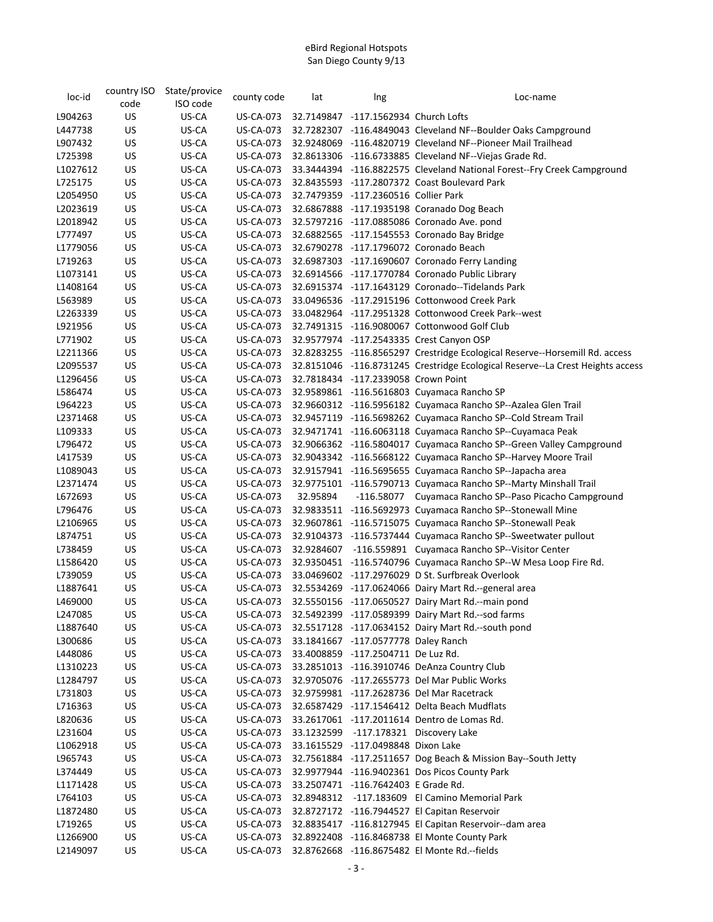| loc-id   | country ISO | State/provice | county code      | lat      | Ing                                  | Loc-name                                                                       |
|----------|-------------|---------------|------------------|----------|--------------------------------------|--------------------------------------------------------------------------------|
|          | code        | ISO code      |                  |          |                                      |                                                                                |
| L904263  | US          | US-CA         | <b>US-CA-073</b> |          | 32.7149847 -117.1562934 Church Lofts |                                                                                |
| L447738  | US          | US-CA         | <b>US-CA-073</b> |          |                                      | 32.7282307 -116.4849043 Cleveland NF--Boulder Oaks Campground                  |
| L907432  | US          | US-CA         | <b>US-CA-073</b> |          |                                      | 32.9248069 -116.4820719 Cleveland NF--Pioneer Mail Trailhead                   |
| L725398  | US          | US-CA         | <b>US-CA-073</b> |          |                                      | 32.8613306 -116.6733885 Cleveland NF--Viejas Grade Rd.                         |
| L1027612 | US          | US-CA         | <b>US-CA-073</b> |          |                                      | 33.3444394 -116.8822575 Cleveland National Forest--Fry Creek Campground        |
| L725175  | US          | US-CA         | <b>US-CA-073</b> |          |                                      | 32.8435593 -117.2807372 Coast Boulevard Park                                   |
| L2054950 | US          | US-CA         | <b>US-CA-073</b> |          | 32.7479359 -117.2360516 Collier Park |                                                                                |
| L2023619 | US          | US-CA         | US-CA-073        |          |                                      | 32.6867888 -117.1935198 Coranado Dog Beach                                     |
| L2018942 | US          | US-CA         | US-CA-073        |          |                                      | 32.5797216 -117.0885086 Coronado Ave. pond                                     |
| L777497  | US          | US-CA         | <b>US-CA-073</b> |          |                                      | 32.6882565 -117.1545553 Coronado Bay Bridge                                    |
| L1779056 | US          | US-CA         | <b>US-CA-073</b> |          |                                      | 32.6790278 -117.1796072 Coronado Beach                                         |
| L719263  | <b>US</b>   | US-CA         | <b>US-CA-073</b> |          |                                      | 32.6987303 -117.1690607 Coronado Ferry Landing                                 |
| L1073141 | US          | US-CA         | <b>US-CA-073</b> |          |                                      | 32.6914566 -117.1770784 Coronado Public Library                                |
| L1408164 | US          | US-CA         | <b>US-CA-073</b> |          |                                      | 32.6915374 -117.1643129 Coronado--Tidelands Park                               |
| L563989  | US          | US-CA         | <b>US-CA-073</b> |          |                                      | 33.0496536 -117.2915196 Cottonwood Creek Park                                  |
| L2263339 | US          | US-CA         | <b>US-CA-073</b> |          |                                      | 33.0482964 -117.2951328 Cottonwood Creek Park--west                            |
| L921956  | US          | US-CA         | <b>US-CA-073</b> |          |                                      | 32.7491315 -116.9080067 Cottonwood Golf Club                                   |
| L771902  | US          | US-CA         | <b>US-CA-073</b> |          |                                      | 32.9577974 -117.2543335 Crest Canyon OSP                                       |
| L2211366 | US          | US-CA         | <b>US-CA-073</b> |          |                                      | 32.8283255 -116.8565297 Crestridge Ecological Reserve--Horsemill Rd. access    |
| L2095537 | <b>US</b>   | US-CA         | <b>US-CA-073</b> |          |                                      | 32.8151046 -116.8731245 Crestridge Ecological Reserve--La Crest Heights access |
| L1296456 | US          | US-CA         | <b>US-CA-073</b> |          | 32.7818434 -117.2339058 Crown Point  |                                                                                |
| L586474  | US          | US-CA         | US-CA-073        |          |                                      | 32.9589861 -116.5616803 Cuyamaca Rancho SP                                     |
| L964223  | US          | US-CA         | <b>US-CA-073</b> |          |                                      | 32.9660312 -116.5956182 Cuyamaca Rancho SP--Azalea Glen Trail                  |
| L2371468 | US          | US-CA         | <b>US-CA-073</b> |          |                                      | 32.9457119 -116.5698262 Cuyamaca Rancho SP--Cold Stream Trail                  |
| L109333  | US          | US-CA         | <b>US-CA-073</b> |          |                                      | 32.9471741 -116.6063118 Cuyamaca Rancho SP--Cuyamaca Peak                      |
| L796472  | US          | US-CA         | US-CA-073        |          |                                      | 32.9066362 -116.5804017 Cuyamaca Rancho SP--Green Valley Campground            |
| L417539  | US          | US-CA         | <b>US-CA-073</b> |          |                                      | 32.9043342 -116.5668122 Cuyamaca Rancho SP--Harvey Moore Trail                 |
| L1089043 | US          | US-CA         | <b>US-CA-073</b> |          |                                      | 32.9157941 -116.5695655 Cuyamaca Rancho SP--Japacha area                       |
| L2371474 | US          | US-CA         | <b>US-CA-073</b> |          |                                      | 32.9775101 -116.5790713 Cuyamaca Rancho SP--Marty Minshall Trail               |
| L672693  | US          | US-CA         | <b>US-CA-073</b> | 32.95894 |                                      | -116.58077 Cuyamaca Rancho SP--Paso Picacho Campground                         |
| L796476  | US          | US-CA         | US-CA-073        |          |                                      | 32.9833511 -116.5692973 Cuyamaca Rancho SP--Stonewall Mine                     |
| L2106965 | US          | US-CA         | US-CA-073        |          |                                      | 32.9607861 -116.5715075 Cuyamaca Rancho SP--Stonewall Peak                     |
| L874751  | US          | US-CA         | <b>US-CA-073</b> |          |                                      | 32.9104373 -116.5737444 Cuyamaca Rancho SP--Sweetwater pullout                 |
| L738459  | US          | US-CA         | US-CA-073        |          |                                      | 32.9284607 -116.559891 Cuyamaca Rancho SP--Visitor Center                      |
| L1586420 | US          | US-CA         | <b>US-CA-073</b> |          |                                      | 32.9350451 -116.5740796 Cuyamaca Rancho SP--W Mesa Loop Fire Rd.               |
| L739059  | US          | US-CA         | US-CA-073        |          |                                      | 33.0469602 -117.2976029 D St. Surfbreak Overlook                               |
| L1887641 | US          | US-CA         | US-CA-073        |          |                                      | 32.5534269 -117.0624066 Dairy Mart Rd.--general area                           |
| L469000  | US          | US-CA         | <b>US-CA-073</b> |          |                                      | 32.5550156 -117.0650527 Dairy Mart Rd.--main pond                              |
| L247085  | US          | US-CA         | <b>US-CA-073</b> |          |                                      | 32.5492399 -117.0589399 Dairy Mart Rd.--sod farms                              |
| L1887640 | US          | US-CA         | US-CA-073        |          |                                      | 32.5517128 -117.0634152 Dairy Mart Rd.--south pond                             |
| L300686  | US          | US-CA         | <b>US-CA-073</b> |          | 33.1841667 -117.0577778 Daley Ranch  |                                                                                |
| L448086  | US          | US-CA         | US-CA-073        |          | 33.4008859 -117.2504711 De Luz Rd.   |                                                                                |
| L1310223 | US          | US-CA         | <b>US-CA-073</b> |          |                                      | 33.2851013 -116.3910746 DeAnza Country Club                                    |
| L1284797 | US          | US-CA         | US-CA-073        |          |                                      | 32.9705076 -117.2655773 Del Mar Public Works                                   |
| L731803  | US          | US-CA         | <b>US-CA-073</b> |          |                                      | 32.9759981 -117.2628736 Del Mar Racetrack                                      |
| L716363  | US          | US-CA         | US-CA-073        |          |                                      | 32.6587429 -117.1546412 Delta Beach Mudflats                                   |
| L820636  | US          | US-CA         | <b>US-CA-073</b> |          |                                      | 33.2617061 -117.2011614 Dentro de Lomas Rd.                                    |
| L231604  | US          | US-CA         | <b>US-CA-073</b> |          |                                      | 33.1232599 -117.178321 Discovery Lake                                          |
| L1062918 | US          | US-CA         | US-CA-073        |          | 33.1615529 -117.0498848 Dixon Lake   |                                                                                |
| L965743  | US          | US-CA         | <b>US-CA-073</b> |          |                                      | 32.7561884 -117.2511657 Dog Beach & Mission Bay--South Jetty                   |
| L374449  | US          | US-CA         | <b>US-CA-073</b> |          |                                      | 32.9977944 -116.9402361 Dos Picos County Park                                  |
| L1171428 | US          | US-CA         | <b>US-CA-073</b> |          | 33.2507471 -116.7642403 E Grade Rd.  |                                                                                |
| L764103  | US          | US-CA         | <b>US-CA-073</b> |          |                                      | 32.8948312 -117.183609 El Camino Memorial Park                                 |
| L1872480 | US          | US-CA         | <b>US-CA-073</b> |          |                                      | 32.8727172 -116.7944527 El Capitan Reservoir                                   |
| L719265  | US          | US-CA         | <b>US-CA-073</b> |          |                                      | 32.8835417 -116.8127945 El Capitan Reservoir--dam area                         |
| L1266900 | US          | US-CA         | <b>US-CA-073</b> |          |                                      | 32.8922408 -116.8468738 El Monte County Park                                   |
| L2149097 | US          | US-CA         | <b>US-CA-073</b> |          |                                      | 32.8762668 -116.8675482 El Monte Rd.--fields                                   |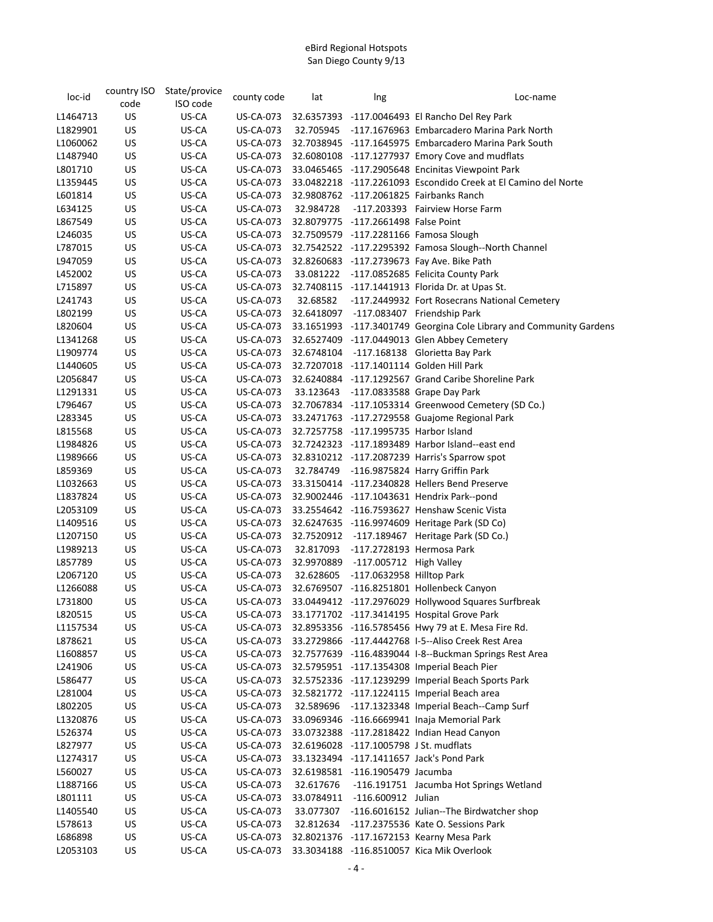| loc-id   | country ISO | State/provice | county code      | lat        | Ing                                    | Loc-name                                                            |
|----------|-------------|---------------|------------------|------------|----------------------------------------|---------------------------------------------------------------------|
|          | code        | ISO code      |                  |            |                                        |                                                                     |
| L1464713 | US          | US-CA         | US-CA-073        |            |                                        | 32.6357393 -117.0046493 El Rancho Del Rey Park                      |
| L1829901 | US          | US-CA         | <b>US-CA-073</b> | 32.705945  |                                        | -117.1676963 Embarcadero Marina Park North                          |
| L1060062 | US          | US-CA         | <b>US-CA-073</b> |            |                                        | 32.7038945 -117.1645975 Embarcadero Marina Park South               |
| L1487940 | US          | US-CA         | <b>US-CA-073</b> |            |                                        | 32.6080108 -117.1277937 Emory Cove and mudflats                     |
| L801710  | US          | US-CA         | <b>US-CA-073</b> |            |                                        | 33.0465465 -117.2905648 Encinitas Viewpoint Park                    |
| L1359445 | US          | US-CA         | <b>US-CA-073</b> |            |                                        | 33.0482218 -117.2261093 Escondido Creek at El Camino del Norte      |
| L601814  | US          | US-CA         | <b>US-CA-073</b> |            |                                        | 32.9808762 -117.2061825 Fairbanks Ranch                             |
| L634125  | US          | US-CA         | <b>US-CA-073</b> | 32.984728  |                                        | -117.203393 Fairview Horse Farm                                     |
| L867549  | US          | US-CA         | <b>US-CA-073</b> |            | 32.8079775 -117.2661498 False Point    |                                                                     |
| L246035  | US          | US-CA         | <b>US-CA-073</b> |            |                                        | 32.7509579 -117.2281166 Famosa Slough                               |
| L787015  | US          | US-CA         | <b>US-CA-073</b> |            |                                        |                                                                     |
|          |             |               |                  |            |                                        | 32.7542522 -117.2295392 Famosa Slough--North Channel                |
| L947059  | US          | US-CA         | <b>US-CA-073</b> |            |                                        | 32.8260683 -117.2739673 Fay Ave. Bike Path                          |
| L452002  | US          | US-CA         | <b>US-CA-073</b> |            |                                        | 33.081222 -117.0852685 Felicita County Park                         |
| L715897  | US          | US-CA         | <b>US-CA-073</b> |            |                                        | 32.7408115 -117.1441913 Florida Dr. at Upas St.                     |
| L241743  | US          | US-CA         | <b>US-CA-073</b> | 32.68582   |                                        | -117.2449932 Fort Rosecrans National Cemetery                       |
| L802199  | US          | US-CA         | <b>US-CA-073</b> | 32.6418097 |                                        | -117.083407 Friendship Park                                         |
| L820604  | US          | US-CA         | <b>US-CA-073</b> |            |                                        | 33.1651993 -117.3401749 Georgina Cole Library and Community Gardens |
| L1341268 | US          | US-CA         | <b>US-CA-073</b> |            |                                        | 32.6527409 -117.0449013 Glen Abbey Cemetery                         |
| L1909774 | US          | US-CA         | <b>US-CA-073</b> | 32.6748104 |                                        | -117.168138 Glorietta Bay Park                                      |
| L1440605 | US          | US-CA         | <b>US-CA-073</b> |            |                                        | 32.7207018 -117.1401114 Golden Hill Park                            |
| L2056847 | US          | US-CA         | <b>US-CA-073</b> |            |                                        | 32.6240884 -117.1292567 Grand Caribe Shoreline Park                 |
| L1291331 | US          | US-CA         | <b>US-CA-073</b> |            |                                        | 33.123643 -117.0833588 Grape Day Park                               |
| L796467  | US          | US-CA         | <b>US-CA-073</b> |            |                                        | 32.7067834 -117.1053314 Greenwood Cemetery (SD Co.)                 |
| L283345  | US          | US-CA         | <b>US-CA-073</b> |            |                                        | 33.2471763 -117.2729558 Guajome Regional Park                       |
| L815568  | US          | US-CA         | <b>US-CA-073</b> |            | 32.7257758 -117.1995735 Harbor Island  |                                                                     |
| L1984826 | US          | US-CA         | <b>US-CA-073</b> |            |                                        | 32.7242323 -117.1893489 Harbor Island--east end                     |
| L1989666 | US          | US-CA         | <b>US-CA-073</b> |            |                                        | 32.8310212 -117.2087239 Harris's Sparrow spot                       |
| L859369  | US          | US-CA         | <b>US-CA-073</b> |            |                                        | 32.784749 -116.9875824 Harry Griffin Park                           |
| L1032663 | US          | US-CA         | <b>US-CA-073</b> |            |                                        | 33.3150414 -117.2340828 Hellers Bend Preserve                       |
| L1837824 | US          | US-CA         | <b>US-CA-073</b> |            |                                        | 32.9002446 -117.1043631 Hendrix Park--pond                          |
| L2053109 | US          | US-CA         | <b>US-CA-073</b> |            |                                        | 33.2554642 -116.7593627 Henshaw Scenic Vista                        |
| L1409516 | US          | US-CA         | <b>US-CA-073</b> |            |                                        | 32.6247635 -116.9974609 Heritage Park (SD Co)                       |
| L1207150 | US          | US-CA         | <b>US-CA-073</b> | 32.7520912 |                                        | -117.189467 Heritage Park (SD Co.)                                  |
| L1989213 | US          | US-CA         | <b>US-CA-073</b> | 32.817093  |                                        | -117.2728193 Hermosa Park                                           |
| L857789  | US          | US-CA         | <b>US-CA-073</b> | 32.9970889 | -117.005712 High Valley                |                                                                     |
| L2067120 | US          | US-CA         | <b>US-CA-073</b> | 32.628605  | -117.0632958 Hilltop Park              |                                                                     |
| L1266088 | US          | US-CA         | <b>US-CA-073</b> |            |                                        | 32.6769507 -116.8251801 Hollenbeck Canyon                           |
| L731800  | US          | US-CA         | <b>US-CA-073</b> |            |                                        | 33.0449412 -117.2976029 Hollywood Squares Surfbreak                 |
| L820515  | US          | US-CA         | <b>US-CA-073</b> |            |                                        | 33.1771702 -117.3414195 Hospital Grove Park                         |
| L1157534 | US          | US-CA         | <b>US-CA-073</b> |            |                                        |                                                                     |
|          |             | US-CA         |                  |            |                                        | 32.8953356 -116.5785456 Hwy 79 at E. Mesa Fire Rd.                  |
| L878621  | US          |               | US-CA-073        |            |                                        | 33.2729866 -117.4442768 I-5--Aliso Creek Rest Area                  |
| L1608857 | US          | US-CA         | US-CA-073        |            |                                        | 32.7577639 -116.4839044 I-8--Buckman Springs Rest Area              |
| L241906  | US          | US-CA         | US-CA-073        |            |                                        | 32.5795951 -117.1354308 Imperial Beach Pier                         |
| L586477  | US          | US-CA         | US-CA-073        |            |                                        | 32.5752336 -117.1239299 Imperial Beach Sports Park                  |
| L281004  | US          | US-CA         | US-CA-073        |            |                                        | 32.5821772 -117.1224115 Imperial Beach area                         |
| L802205  | US          | US-CA         | <b>US-CA-073</b> |            |                                        | 32.589696 -117.1323348 Imperial Beach--Camp Surf                    |
| L1320876 | US          | US-CA         | US-CA-073        |            |                                        | 33.0969346 -116.6669941 Inaja Memorial Park                         |
| L526374  | US          | US-CA         | <b>US-CA-073</b> |            |                                        | 33.0732388 -117.2818422 Indian Head Canyon                          |
| L827977  | US          | US-CA         | US-CA-073        |            | 32.6196028 -117.1005798 J St. mudflats |                                                                     |
| L1274317 | US          | US-CA         | US-CA-073        |            |                                        | 33.1323494 -117.1411657 Jack's Pond Park                            |
| L560027  | US          | US-CA         | <b>US-CA-073</b> |            | 32.6198581 -116.1905479 Jacumba        |                                                                     |
| L1887166 | US          | US-CA         | <b>US-CA-073</b> | 32.617676  |                                        | -116.191751 Jacumba Hot Springs Wetland                             |
| L801111  | US          | US-CA         | <b>US-CA-073</b> | 33.0784911 | -116.600912 Julian                     |                                                                     |
| L1405540 | US          | US-CA         | <b>US-CA-073</b> | 33.077307  |                                        | -116.6016152 Julian--The Birdwatcher shop                           |
| L578613  | US          | US-CA         | US-CA-073        | 32.812634  |                                        | -117.2375536 Kate O. Sessions Park                                  |
| L686898  | US          | US-CA         | <b>US-CA-073</b> |            |                                        | 32.8021376 -117.1672153 Kearny Mesa Park                            |
| L2053103 | US          | US-CA         | <b>US-CA-073</b> |            |                                        | 33.3034188 -116.8510057 Kica Mik Overlook                           |
|          |             |               |                  |            |                                        |                                                                     |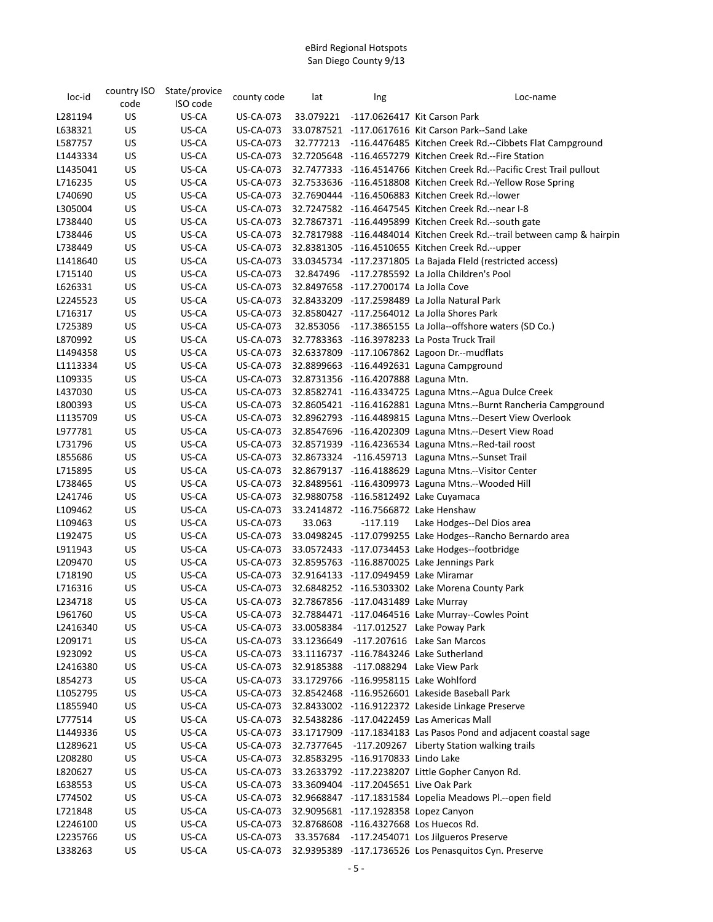| loc-id   | country ISO | State/provice | county code      | lat        | Ing                                   | Loc-name                                                                |
|----------|-------------|---------------|------------------|------------|---------------------------------------|-------------------------------------------------------------------------|
|          | code        | ISO code      |                  |            |                                       |                                                                         |
| L281194  | US          | US-CA         | <b>US-CA-073</b> |            |                                       | 33.079221 -117.0626417 Kit Carson Park                                  |
| L638321  | US          | US-CA         | US-CA-073        |            |                                       | 33.0787521 -117.0617616 Kit Carson Park--Sand Lake                      |
| L587757  | US          | US-CA         | <b>US-CA-073</b> |            |                                       | 32.777213 -116.4476485 Kitchen Creek Rd.--Cibbets Flat Campground       |
| L1443334 | US          | US-CA         | <b>US-CA-073</b> |            |                                       | 32.7205648 -116.4657279 Kitchen Creek Rd.--Fire Station                 |
| L1435041 | US          | US-CA         | US-CA-073        |            |                                       | 32.7477333 -116.4514766 Kitchen Creek Rd.--Pacific Crest Trail pullout  |
| L716235  | US          | US-CA         | US-CA-073        |            |                                       | 32.7533636 -116.4518808 Kitchen Creek Rd.--Yellow Rose Spring           |
| L740690  | US          | US-CA         | <b>US-CA-073</b> |            |                                       | 32.7690444 -116.4506883 Kitchen Creek Rd.--lower                        |
| L305004  | <b>US</b>   | US-CA         | <b>US-CA-073</b> |            |                                       | 32.7247582 -116.4647545 Kitchen Creek Rd.--near I-8                     |
| L738440  | US          | US-CA         | <b>US-CA-073</b> |            |                                       | 32.7867371 -116.4495899 Kitchen Creek Rd.--south gate                   |
| L738446  | US          | US-CA         | <b>US-CA-073</b> |            |                                       | 32.7817988 -116.4484014 Kitchen Creek Rd.--trail between camp & hairpin |
| L738449  | US          | US-CA         | <b>US-CA-073</b> |            |                                       | 32.8381305 -116.4510655 Kitchen Creek Rd.--upper                        |
| L1418640 | US          | US-CA         | <b>US-CA-073</b> |            |                                       | 33.0345734 -117.2371805 La Bajada Fleld (restricted access)             |
| L715140  | US          | US-CA         | <b>US-CA-073</b> |            |                                       | 32.847496 -117.2785592 La Jolla Children's Pool                         |
| L626331  | US          | US-CA         | US-CA-073        |            | 32.8497658 -117.2700174 La Jolla Cove |                                                                         |
| L2245523 | US          | US-CA         | US-CA-073        |            |                                       | 32.8433209 -117.2598489 La Jolla Natural Park                           |
| L716317  | US          | US-CA         | US-CA-073        |            |                                       | 32.8580427 -117.2564012 La Jolla Shores Park                            |
| L725389  | US          | US-CA         | <b>US-CA-073</b> |            |                                       | 32.853056 -117.3865155 La Jolla--offshore waters (SD Co.)               |
| L870992  | US          | US-CA         | US-CA-073        |            |                                       | 32.7783363 -116.3978233 La Posta Truck Trail                            |
| L1494358 | US          | US-CA         | <b>US-CA-073</b> |            |                                       | 32.6337809 -117.1067862 Lagoon Dr.--mudflats                            |
| L1113334 | US          | US-CA         | <b>US-CA-073</b> |            |                                       | 32.8899663 -116.4492631 Laguna Campground                               |
| L109335  | US          | US-CA         | <b>US-CA-073</b> |            | 32.8731356 -116.4207888 Laguna Mtn.   |                                                                         |
| L437030  | US          | US-CA         | <b>US-CA-073</b> |            |                                       | 32.8582741 -116.4334725 Laguna Mtns.--Agua Dulce Creek                  |
| L800393  | US          | US-CA         | <b>US-CA-073</b> |            |                                       | 32.8605421 -116.4162881 Laguna Mtns.--Burnt Rancheria Campground        |
| L1135709 | US.         | US-CA         | <b>US-CA-073</b> |            |                                       | 32.8962793 -116.4489815 Laguna Mtns.--Desert View Overlook              |
| L977781  | US          | US-CA         | <b>US-CA-073</b> |            |                                       | 32.8547696 -116.4202309 Laguna Mtns.--Desert View Road                  |
| L731796  | US          | US-CA         | <b>US-CA-073</b> |            |                                       | 32.8571939 -116.4236534 Laguna Mtns.--Red-tail roost                    |
| L855686  | US          | US-CA         | <b>US-CA-073</b> |            |                                       | 32.8673324 -116.459713 Laguna Mtns.--Sunset Trail                       |
| L715895  | US          | US-CA         | <b>US-CA-073</b> |            |                                       | 32.8679137 -116.4188629 Laguna Mtns.--Visitor Center                    |
| L738465  | US          | US-CA         | <b>US-CA-073</b> |            |                                       | 32.8489561 -116.4309973 Laguna Mtns.--Wooded Hill                       |
| L241746  | US          | US-CA         | US-CA-073        |            |                                       | 32.9880758 -116.5812492 Lake Cuyamaca                                   |
| L109462  | US          | US-CA         | <b>US-CA-073</b> |            |                                       | 33.2414872 -116.7566872 Lake Henshaw                                    |
| L109463  | US          | US-CA         | <b>US-CA-073</b> | 33.063     | -117.119                              | Lake Hodges--Del Dios area                                              |
| L192475  | US          | US-CA         | US-CA-073        |            |                                       | 33.0498245 -117.0799255 Lake Hodges--Rancho Bernardo area               |
| L911943  | US          | US-CA         | <b>US-CA-073</b> |            |                                       | 33.0572433 -117.0734453 Lake Hodges--footbridge                         |
| L209470  | US          | US-CA         | <b>US-CA-073</b> |            |                                       | 32.8595763 -116.8870025 Lake Jennings Park                              |
| L718190  | US          | US-CA         | <b>US-CA-073</b> |            | 32.9164133 -117.0949459 Lake Miramar  |                                                                         |
| L716316  | US          | US-CA         | <b>US-CA-073</b> |            |                                       | 32.6848252 -116.5303302 Lake Morena County Park                         |
| L234718  | US          | US-CA         | <b>US-CA-073</b> |            | 32.7867856 -117.0431489 Lake Murray   |                                                                         |
| L961760  | US          | US-CA         | <b>US-CA-073</b> |            |                                       | 32.7884471 -117.0464516 Lake Murray--Cowles Point                       |
| L2416340 | US          | US-CA         | <b>US-CA-073</b> | 33.0058384 |                                       | -117.012527 Lake Poway Park                                             |
| L209171  | US          | US-CA         | <b>US-CA-073</b> | 33.1236649 |                                       | -117.207616 Lake San Marcos                                             |
| L923092  | US          | US-CA         | US-CA-073        |            |                                       | 33.1116737 -116.7843246 Lake Sutherland                                 |
| L2416380 | US          | US-CA         | US-CA-073        |            |                                       | 32.9185388 -117.088294 Lake View Park                                   |
| L854273  | <b>US</b>   | US-CA         | US-CA-073        |            |                                       | 33.1729766 -116.9958115 Lake Wohlford                                   |
| L1052795 | US          | US-CA         | <b>US-CA-073</b> |            |                                       | 32.8542468 -116.9526601 Lakeside Baseball Park                          |
| L1855940 | US          | US-CA         | US-CA-073        |            |                                       | 32.8433002 -116.9122372 Lakeside Linkage Preserve                       |
| L777514  | US          | US-CA         | <b>US-CA-073</b> |            |                                       | 32.5438286 -117.0422459 Las Americas Mall                               |
| L1449336 | <b>US</b>   | US-CA         | <b>US-CA-073</b> |            |                                       | 33.1717909 -117.1834183 Las Pasos Pond and adjacent coastal sage        |
| L1289621 | <b>US</b>   | US-CA         | US-CA-073        |            |                                       | 32.7377645 -117.209267 Liberty Station walking trails                   |
| L208280  | US          | US-CA         | US-CA-073        |            | 32.8583295 -116.9170833 Lindo Lake    |                                                                         |
| L820627  | US          | US-CA         | <b>US-CA-073</b> |            |                                       | 33.2633792 -117.2238207 Little Gopher Canyon Rd.                        |
| L638553  | <b>US</b>   | US-CA         | <b>US-CA-073</b> |            | 33.3609404 -117.2045651 Live Oak Park |                                                                         |
| L774502  | US          | US-CA         | <b>US-CA-073</b> |            |                                       | 32.9668847 -117.1831584 Lopelia Meadows Pl .-- open field               |
| L721848  | US          | US-CA         | <b>US-CA-073</b> |            | 32.9095681 -117.1928358 Lopez Canyon  |                                                                         |
| L2246100 | US          | US-CA         | <b>US-CA-073</b> |            |                                       | 32.8768608 -116.4327668 Los Huecos Rd.                                  |
| L2235766 | US          | US-CA         | <b>US-CA-073</b> |            |                                       | 33.357684 -117.2454071 Los Jilgueros Preserve                           |
| L338263  | <b>US</b>   | US-CA         | US-CA-073        |            |                                       | 32.9395389 -117.1736526 Los Penasquitos Cyn. Preserve                   |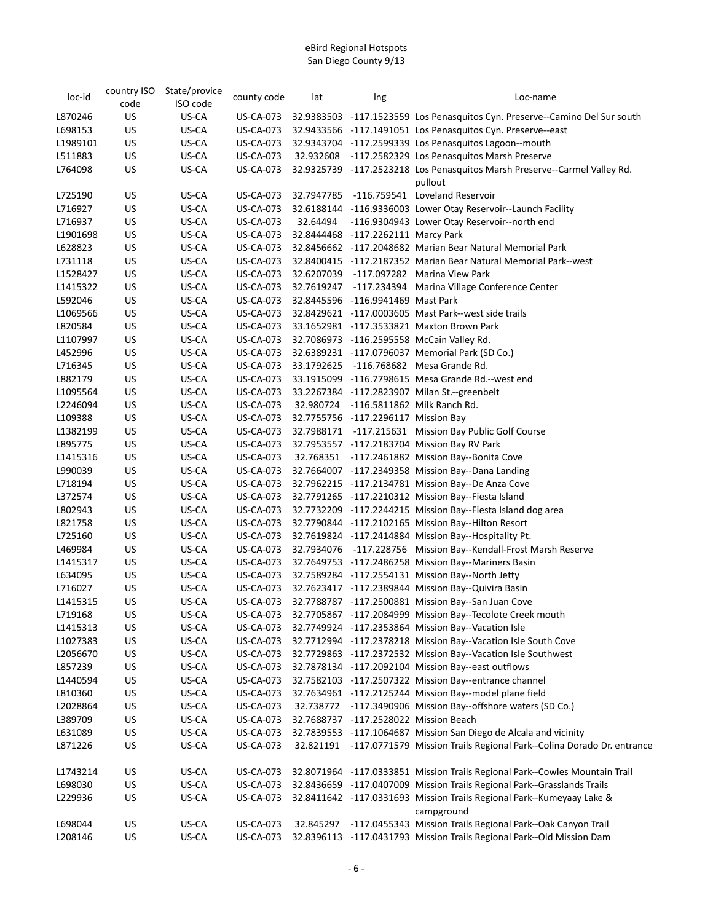| loc-id   | country ISO<br>code | State/provice<br>ISO code | county code                   | lat       | Ing                                 | Loc-name                                                                                 |
|----------|---------------------|---------------------------|-------------------------------|-----------|-------------------------------------|------------------------------------------------------------------------------------------|
| L870246  | US                  | US-CA                     | US-CA-073                     |           |                                     | 32.9383503 -117.1523559 Los Penasquitos Cyn. Preserve--Camino Del Sur south              |
| L698153  | US                  | US-CA                     | US-CA-073                     |           |                                     | 32.9433566 -117.1491051 Los Penasquitos Cyn. Preserve--east                              |
| L1989101 | US                  | US-CA                     | <b>US-CA-073</b>              |           |                                     | 32.9343704 -117.2599339 Los Penasquitos Lagoon--mouth                                    |
| L511883  | US                  | US-CA                     | <b>US-CA-073</b>              |           |                                     | 32.932608 -117.2582329 Los Penasquitos Marsh Preserve                                    |
| L764098  | US                  | US-CA                     | <b>US-CA-073</b>              |           |                                     | 32.9325739 -117.2523218 Los Penasquitos Marsh Preserve--Carmel Valley Rd.                |
|          |                     |                           |                               |           |                                     | pullout                                                                                  |
| L725190  | US                  | US-CA                     | <b>US-CA-073</b>              |           |                                     | 32.7947785 -116.759541 Loveland Reservoir                                                |
| L716927  | US                  | US-CA                     | <b>US-CA-073</b>              |           |                                     | 32.6188144 -116.9336003 Lower Otay Reservoir--Launch Facility                            |
| L716937  | US                  | US-CA                     | <b>US-CA-073</b>              | 32.64494  |                                     | -116.9304943 Lower Otay Reservoir--north end                                             |
| L1901698 | US                  | US-CA                     | <b>US-CA-073</b>              |           | 32.8444468 -117.2262111 Marcy Park  |                                                                                          |
| L628823  | US                  | US-CA                     | <b>US-CA-073</b>              |           |                                     | 32.8456662 -117.2048682 Marian Bear Natural Memorial Park                                |
| L731118  | US                  | US-CA                     | <b>US-CA-073</b>              |           |                                     | 32.8400415 -117.2187352 Marian Bear Natural Memorial Park--west                          |
| L1528427 | US                  | US-CA                     | <b>US-CA-073</b>              |           |                                     | 32.6207039 -117.097282 Marina View Park                                                  |
| L1415322 | US                  | US-CA                     | <b>US-CA-073</b>              |           |                                     | 32.7619247 -117.234394 Marina Village Conference Center                                  |
| L592046  | US                  | US-CA                     | <b>US-CA-073</b>              |           | 32.8445596 -116.9941469 Mast Park   |                                                                                          |
| L1069566 | US                  | US-CA                     | <b>US-CA-073</b>              |           |                                     | 32.8429621 -117.0003605 Mast Park--west side trails                                      |
| L820584  | US                  | US-CA                     | <b>US-CA-073</b>              |           |                                     | 33.1652981 -117.3533821 Maxton Brown Park                                                |
| L1107997 | US                  | US-CA                     |                               |           |                                     | 32.7086973 -116.2595558 McCain Valley Rd.                                                |
| L452996  | US                  | US-CA                     | US-CA-073<br><b>US-CA-073</b> |           |                                     |                                                                                          |
| L716345  | US                  | US-CA                     | US-CA-073                     |           |                                     | 32.6389231 -117.0796037 Memorial Park (SD Co.)<br>33.1792625 -116.768682 Mesa Grande Rd. |
|          |                     |                           |                               |           |                                     |                                                                                          |
| L882179  | US                  | US-CA                     | <b>US-CA-073</b>              |           |                                     | 33.1915099 -116.7798615 Mesa Grande Rd.--west end                                        |
| L1095564 | US                  | US-CA                     | <b>US-CA-073</b>              |           |                                     | 33.2267384 -117.2823907 Milan St.--greenbelt                                             |
| L2246094 | US                  | US-CA                     | <b>US-CA-073</b>              |           | 32.7755756 -117.2296117 Mission Bay | 32.980724 -116.5811862 Milk Ranch Rd.                                                    |
| L109388  | US                  | US-CA                     | US-CA-073                     |           |                                     |                                                                                          |
| L1382199 | US                  | US-CA                     | <b>US-CA-073</b>              |           |                                     | 32.7988171 -117.215631 Mission Bay Public Golf Course                                    |
| L895775  | US                  | US-CA                     | <b>US-CA-073</b>              |           |                                     | 32.7953557 -117.2183704 Mission Bay RV Park                                              |
| L1415316 | US                  | US-CA                     | <b>US-CA-073</b>              |           |                                     | 32.768351 -117.2461882 Mission Bay--Bonita Cove                                          |
| L990039  | US                  | US-CA                     | <b>US-CA-073</b>              |           |                                     | 32.7664007 -117.2349358 Mission Bay--Dana Landing                                        |
| L718194  | US                  | US-CA                     | <b>US-CA-073</b>              |           |                                     | 32.7962215 -117.2134781 Mission Bay--De Anza Cove                                        |
| L372574  | US                  | US-CA                     | <b>US-CA-073</b>              |           |                                     | 32.7791265 -117.2210312 Mission Bay--Fiesta Island                                       |
| L802943  | US                  | US-CA                     | <b>US-CA-073</b>              |           |                                     | 32.7732209 -117.2244215 Mission Bay--Fiesta Island dog area                              |
| L821758  | US                  | US-CA                     | <b>US-CA-073</b>              |           |                                     | 32.7790844 -117.2102165 Mission Bay--Hilton Resort                                       |
| L725160  | US                  | US-CA                     | <b>US-CA-073</b>              |           |                                     | 32.7619824 -117.2414884 Mission Bay--Hospitality Pt.                                     |
| L469984  | US                  | US-CA                     | US-CA-073                     |           |                                     | 32.7934076 -117.228756 Mission Bay--Kendall-Frost Marsh Reserve                          |
| L1415317 | US                  | US-CA                     | <b>US-CA-073</b>              |           |                                     | 32.7649753 -117.2486258 Mission Bay--Mariners Basin                                      |
| L634095  | US                  | US-CA                     | US-CA-073                     |           |                                     | 32.7589284 -117.2554131 Mission Bay--North Jetty                                         |
| L716027  | US                  | US-CA                     | <b>US-CA-073</b>              |           |                                     | 32.7623417 -117.2389844 Mission Bay--Quivira Basin                                       |
| L1415315 | US                  | US-CA                     | <b>US-CA-073</b>              |           |                                     | 32.7788787 -117.2500881 Mission Bay--San Juan Cove                                       |
| L719168  | US                  | US-CA                     | <b>US-CA-073</b>              |           |                                     | 32.7705867 -117.2084999 Mission Bay--Tecolote Creek mouth                                |
| L1415313 | US                  | US-CA                     | <b>US-CA-073</b>              |           |                                     | 32.7749924 -117.2353864 Mission Bay--Vacation Isle                                       |
| L1027383 | US                  | US-CA                     | <b>US-CA-073</b>              |           |                                     | 32.7712994 -117.2378218 Mission Bay--Vacation Isle South Cove                            |
| L2056670 | US                  | US-CA                     | <b>US-CA-073</b>              |           |                                     | 32.7729863 -117.2372532 Mission Bay--Vacation Isle Southwest                             |
| L857239  | US                  | US-CA                     | <b>US-CA-073</b>              |           |                                     | 32.7878134 -117.2092104 Mission Bay--east outflows                                       |
| L1440594 | US                  | US-CA                     | <b>US-CA-073</b>              |           |                                     | 32.7582103 -117.2507322 Mission Bay--entrance channel                                    |
| L810360  | US                  | US-CA                     | <b>US-CA-073</b>              |           |                                     | 32.7634961 -117.2125244 Mission Bay--model plane field                                   |
| L2028864 | US                  | US-CA                     | <b>US-CA-073</b>              | 32.738772 |                                     | -117.3490906 Mission Bay--offshore waters (SD Co.)                                       |
| L389709  | US                  | US-CA                     | <b>US-CA-073</b>              |           |                                     | 32.7688737 -117.2528022 Mission Beach                                                    |
| L631089  | US                  | US-CA                     | <b>US-CA-073</b>              |           |                                     | 32.7839553 -117.1064687 Mission San Diego de Alcala and vicinity                         |
| L871226  | US                  | US-CA                     | <b>US-CA-073</b>              | 32.821191 |                                     | -117.0771579 Mission Trails Regional Park--Colina Dorado Dr. entrance                    |
| L1743214 | US                  | US-CA                     | <b>US-CA-073</b>              |           |                                     | 32.8071964 -117.0333851 Mission Trails Regional Park--Cowles Mountain Trail              |
| L698030  | US                  | US-CA                     | <b>US-CA-073</b>              |           |                                     | 32.8436659 -117.0407009 Mission Trails Regional Park--Grasslands Trails                  |
| L229936  | US                  | US-CA                     | <b>US-CA-073</b>              |           |                                     | 32.8411642 -117.0331693 Mission Trails Regional Park--Kumeyaay Lake &<br>campground      |
| L698044  | US                  | US-CA                     | <b>US-CA-073</b>              | 32.845297 |                                     | -117.0455343 Mission Trails Regional Park--Oak Canyon Trail                              |
| L208146  | US                  | US-CA                     | <b>US-CA-073</b>              |           |                                     | 32.8396113 -117.0431793 Mission Trails Regional Park--Old Mission Dam                    |
|          |                     |                           |                               |           |                                     |                                                                                          |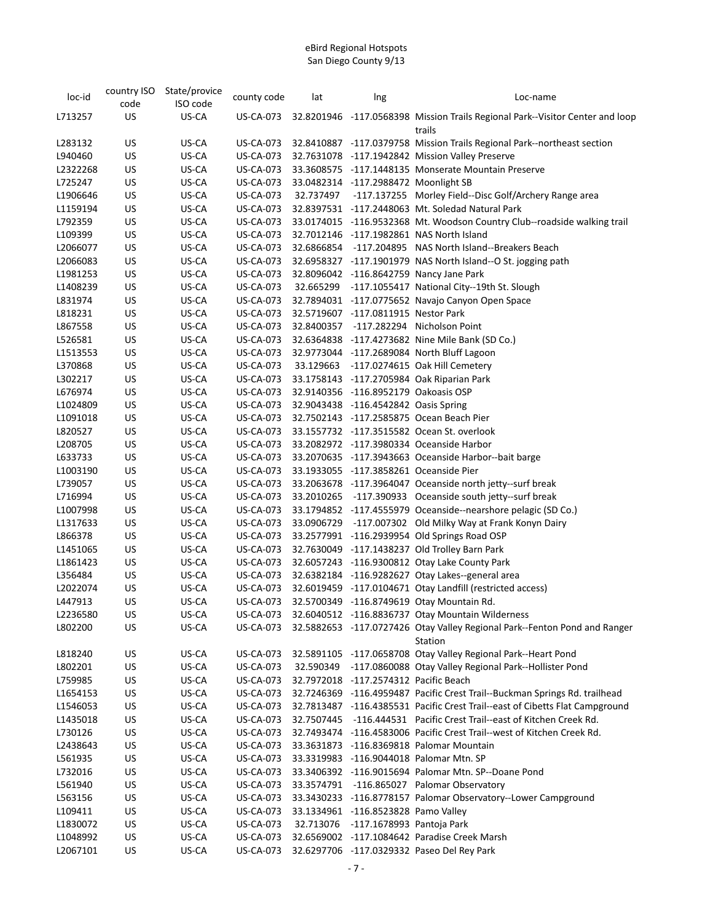| loc-id   | country ISO | State/provice | county code      | lat        | Ing                                   | Loc-name                                                                                |
|----------|-------------|---------------|------------------|------------|---------------------------------------|-----------------------------------------------------------------------------------------|
|          | code        | ISO code      |                  |            |                                       |                                                                                         |
| L713257  | US          | US-CA         | US-CA-073        |            |                                       | 32.8201946 -117.0568398 Mission Trails Regional Park--Visitor Center and loop<br>trails |
| L283132  | US          | US-CA         | <b>US-CA-073</b> |            |                                       | 32.8410887 -117.0379758 Mission Trails Regional Park--northeast section                 |
| L940460  | US          | US-CA         | <b>US-CA-073</b> |            |                                       | 32.7631078 -117.1942842 Mission Valley Preserve                                         |
| L2322268 | US          | US-CA         | <b>US-CA-073</b> |            |                                       | 33.3608575 -117.1448135 Monserate Mountain Preserve                                     |
| L725247  | US          | US-CA         | <b>US-CA-073</b> |            | 33.0482314 -117.2988472 Moonlight SB  |                                                                                         |
| L1906646 | US          | US-CA         | <b>US-CA-073</b> | 32.737497  |                                       | -117.137255 Morley Field--Disc Golf/Archery Range area                                  |
| L1159194 | US          | US-CA         | <b>US-CA-073</b> |            |                                       | 32.8397531 -117.2448063 Mt. Soledad Natural Park                                        |
| L792359  | US          | US-CA         | <b>US-CA-073</b> |            |                                       | 33.0174015 -116.9532368 Mt. Woodson Country Club--roadside walking trail                |
| L109399  | US          | US-CA         | <b>US-CA-073</b> |            |                                       | 32.7012146 -117.1982861 NAS North Island                                                |
| L2066077 | US          | US-CA         | <b>US-CA-073</b> | 32.6866854 |                                       | -117.204895 NAS North Island--Breakers Beach                                            |
| L2066083 | US          | US-CA         | <b>US-CA-073</b> |            |                                       | 32.6958327 -117.1901979 NAS North Island--O St. jogging path                            |
| L1981253 | US          | US-CA         | <b>US-CA-073</b> |            |                                       | 32.8096042 -116.8642759 Nancy Jane Park                                                 |
| L1408239 | US          | US-CA         | <b>US-CA-073</b> |            |                                       | 32.665299 -117.1055417 National City--19th St. Slough                                   |
| L831974  | US          | US-CA         | <b>US-CA-073</b> |            |                                       | 32.7894031 -117.0775652 Navajo Canyon Open Space                                        |
| L818231  | US          | US-CA         | US-CA-073        |            | 32.5719607 -117.0811915 Nestor Park   |                                                                                         |
| L867558  | US          | US-CA         | <b>US-CA-073</b> |            |                                       | 32.8400357 -117.282294 Nicholson Point                                                  |
| L526581  | US          | US-CA         | <b>US-CA-073</b> |            |                                       | 32.6364838 -117.4273682 Nine Mile Bank (SD Co.)                                         |
| L1513553 | US          | US-CA         | <b>US-CA-073</b> |            |                                       | 32.9773044 -117.2689084 North Bluff Lagoon                                              |
| L370868  | US          | US-CA         | <b>US-CA-073</b> |            |                                       | 33.129663 -117.0274615 Oak Hill Cemetery                                                |
| L302217  | US          | US-CA         | <b>US-CA-073</b> |            |                                       | 33.1758143 -117.2705984 Oak Riparian Park                                               |
| L676974  | US          | US-CA         | <b>US-CA-073</b> |            | 32.9140356 -116.8952179 Oakoasis OSP  |                                                                                         |
| L1024809 | US          | US-CA         | <b>US-CA-073</b> |            | 32.9043438 -116.4542842 Oasis Spring  |                                                                                         |
| L1091018 | US          | US-CA         | <b>US-CA-073</b> |            |                                       | 32.7502143 -117.2585875 Ocean Beach Pier                                                |
| L820527  | US          | US-CA         | <b>US-CA-073</b> |            |                                       | 33.1557732 -117.3515582 Ocean St. overlook                                              |
| L208705  | US          | US-CA         | <b>US-CA-073</b> |            |                                       | 33.2082972 -117.3980334 Oceanside Harbor                                                |
| L633733  | US          | US-CA         | <b>US-CA-073</b> |            |                                       | 33.2070635 -117.3943663 Oceanside Harbor--bait barge                                    |
| L1003190 | US          | US-CA         | <b>US-CA-073</b> |            |                                       | 33.1933055 -117.3858261 Oceanside Pier                                                  |
| L739057  | US          | US-CA         | <b>US-CA-073</b> |            |                                       | 33.2063678 -117.3964047 Oceanside north jetty--surf break                               |
| L716994  | US          | US-CA         | <b>US-CA-073</b> |            |                                       | 33.2010265 -117.390933 Oceanside south jetty--surf break                                |
| L1007998 | US          | US-CA         | <b>US-CA-073</b> |            |                                       | 33.1794852 -117.4555979 Oceanside--nearshore pelagic (SD Co.)                           |
| L1317633 | US          | US-CA         | US-CA-073        |            |                                       | 33.0906729 -117.007302 Old Milky Way at Frank Konyn Dairy                               |
| L866378  | US          | US-CA         | <b>US-CA-073</b> |            |                                       | 33.2577991 -116.2939954 Old Springs Road OSP                                            |
| L1451065 | US          | US-CA         | <b>US-CA-073</b> |            |                                       | 32.7630049 -117.1438237 Old Trolley Barn Park                                           |
| L1861423 | US          | US-CA         | <b>US-CA-073</b> |            |                                       | 32.6057243 -116.9300812 Otay Lake County Park                                           |
| L356484  | US          | US-CA         | <b>US-CA-073</b> |            |                                       | 32.6382184 -116.9282627 Otay Lakes--general area                                        |
| L2022074 | US          | US-CA         | <b>US-CA-073</b> |            |                                       | 32.6019459 -117.0104671 Otay Landfill (restricted access)                               |
| L447913  | US          | US-CA         | <b>US-CA-073</b> |            |                                       | 32.5700349 -116.8749619 Otay Mountain Rd.                                               |
| L2236580 | US          | US-CA         | <b>US-CA-073</b> |            |                                       | 32.6040512 -116.8836737 Otay Mountain Wilderness                                        |
| L802200  | US          | US-CA         | <b>US-CA-073</b> |            |                                       | 32.5882653 -117.0727426 Otay Valley Regional Park--Fenton Pond and Ranger               |
|          |             |               |                  |            |                                       | Station                                                                                 |
| L818240  | US          | US-CA         | <b>US-CA-073</b> |            |                                       | 32.5891105 -117.0658708 Otay Valley Regional Park--Heart Pond                           |
| L802201  | US          | US-CA         | <b>US-CA-073</b> | 32.590349  |                                       | -117.0860088 Otay Valley Regional Park--Hollister Pond                                  |
| L759985  | US          | US-CA         | <b>US-CA-073</b> |            | 32.7972018 -117.2574312 Pacific Beach |                                                                                         |
| L1654153 | US          | US-CA         | <b>US-CA-073</b> |            |                                       | 32.7246369 -116.4959487 Pacific Crest Trail--Buckman Springs Rd. trailhead              |
| L1546053 | US          | US-CA         | <b>US-CA-073</b> |            |                                       | 32.7813487 -116.4385531 Pacific Crest Trail--east of Cibetts Flat Campground            |
| L1435018 | US          | US-CA         | <b>US-CA-073</b> | 32.7507445 |                                       | -116.444531 Pacific Crest Trail--east of Kitchen Creek Rd.                              |
| L730126  | US          | US-CA         | <b>US-CA-073</b> |            |                                       | 32.7493474 -116.4583006 Pacific Crest Trail--west of Kitchen Creek Rd.                  |
| L2438643 | US          | US-CA         | <b>US-CA-073</b> |            |                                       | 33.3631873 -116.8369818 Palomar Mountain                                                |
| L561935  | US          | US-CA         | <b>US-CA-073</b> |            |                                       | 33.3319983 -116.9044018 Palomar Mtn. SP                                                 |
| L732016  | US          | US-CA         | <b>US-CA-073</b> |            |                                       | 33.3406392 -116.9015694 Palomar Mtn. SP--Doane Pond                                     |
| L561940  | US          | US-CA         | <b>US-CA-073</b> | 33.3574791 |                                       | -116.865027 Palomar Observatory                                                         |
| L563156  | US          | US-CA         | <b>US-CA-073</b> |            |                                       | 33.3430233 -116.8778157 Palomar Observatory--Lower Campground                           |
| L109411  | US          | US-CA         | <b>US-CA-073</b> |            | 33.1334961 -116.8523828 Pamo Valley   |                                                                                         |
| L1830072 | US          | US-CA         | <b>US-CA-073</b> | 32.713076  | -117.1678993 Pantoja Park             |                                                                                         |
| L1048992 | US          | US-CA         | <b>US-CA-073</b> |            |                                       | 32.6569002 -117.1084642 Paradise Creek Marsh                                            |
| L2067101 | US          | US-CA         | <b>US-CA-073</b> |            |                                       | 32.6297706 -117.0329332 Paseo Del Rey Park                                              |
|          |             |               |                  |            |                                       |                                                                                         |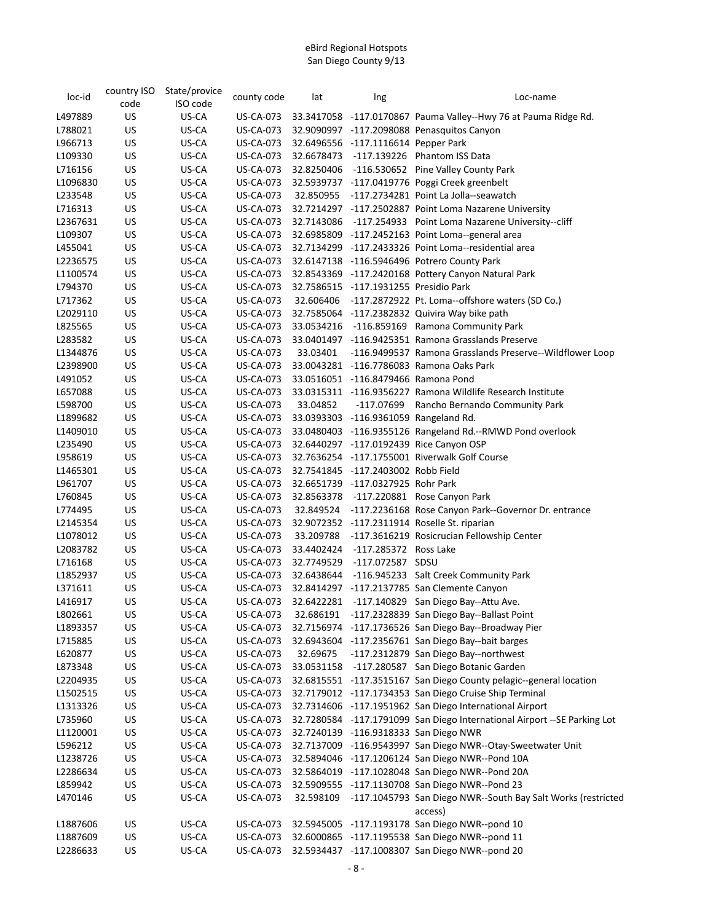| loc-id   | country ISO | State/provice | county code      | lat        | Ing                                   | Loc-name                                                           |
|----------|-------------|---------------|------------------|------------|---------------------------------------|--------------------------------------------------------------------|
|          | code        | ISO code      |                  |            |                                       |                                                                    |
| L497889  | US          | US-CA         | <b>US-CA-073</b> |            |                                       | 33.3417058 -117.0170867 Pauma Valley--Hwy 76 at Pauma Ridge Rd.    |
| L788021  | US          | US-CA         | US-CA-073        |            |                                       | 32.9090997 -117.2098088 Penasquitos Canyon                         |
| L966713  | US          | US-CA         | <b>US-CA-073</b> |            | 32.6496556 -117.1116614 Pepper Park   |                                                                    |
| L109330  | US          | US-CA         | <b>US-CA-073</b> | 32.6678473 |                                       | -117.139226    Phantom ISS Data                                    |
| L716156  | US          | US-CA         | <b>US-CA-073</b> | 32.8250406 |                                       | -116.530652 Pine Valley County Park                                |
| L1096830 | US          | US-CA         | <b>US-CA-073</b> |            |                                       | 32.5939737 -117.0419776 Poggi Creek greenbelt                      |
| L233548  | US          | US-CA         | <b>US-CA-073</b> | 32.850955  |                                       | -117.2734281 Point La Jolla--seawatch                              |
| L716313  | US          | US-CA         | <b>US-CA-073</b> |            |                                       | 32.7214297 -117.2502887 Point Loma Nazarene University             |
| L2367631 | US          | US-CA         | US-CA-073        | 32.7143086 |                                       | -117.254933 Point Loma Nazarene University--cliff                  |
| L109307  | US          | US-CA         | <b>US-CA-073</b> |            |                                       | 32.6985809 -117.2452163 Point Loma--general area                   |
| L455041  | US          | US-CA         | <b>US-CA-073</b> |            |                                       | 32.7134299 -117.2433326 Point Loma--residential area               |
| L2236575 | US          | US-CA         | <b>US-CA-073</b> |            |                                       | 32.6147138 -116.5946496 Potrero County Park                        |
| L1100574 | US          | US-CA         | <b>US-CA-073</b> |            |                                       | 32.8543369 -117.2420168 Pottery Canyon Natural Park                |
| L794370  | US          | US-CA         | <b>US-CA-073</b> |            | 32.7586515 -117.1931255 Presidio Park |                                                                    |
| L717362  | US          | US-CA         | <b>US-CA-073</b> | 32.606406  |                                       | -117.2872922 Pt. Loma--offshore waters (SD Co.)                    |
| L2029110 | US          | US-CA         | <b>US-CA-073</b> |            |                                       | 32.7585064 -117.2382832 Quivira Way bike path                      |
| L825565  | US          | US-CA         | <b>US-CA-073</b> | 33.0534216 |                                       | -116.859169 Ramona Community Park                                  |
| L283582  | US          | US-CA         | <b>US-CA-073</b> |            |                                       | 33.0401497 -116.9425351 Ramona Grasslands Preserve                 |
| L1344876 | US          | US-CA         | <b>US-CA-073</b> | 33.03401   |                                       | -116.9499537 Ramona Grasslands Preserve--Wildflower Loop           |
| L2398900 | US          | US-CA         | <b>US-CA-073</b> |            |                                       | 33.0043281 -116.7786083 Ramona Oaks Park                           |
| L491052  | US          | US-CA         | <b>US-CA-073</b> |            | 33.0516051 -116.8479466 Ramona Pond   |                                                                    |
| L657088  | US          | US-CA         | <b>US-CA-073</b> |            |                                       | 33.0315311 -116.9356227 Ramona Wildlife Research Institute         |
| L598700  | US          | US-CA         | <b>US-CA-073</b> | 33.04852   | -117.07699                            | Rancho Bernando Community Park                                     |
| L1899682 | US          | US-CA         | <b>US-CA-073</b> |            |                                       | 33.0393303 -116.9361059 Rangeland Rd.                              |
| L1409010 | US          | US-CA         | US-CA-073        |            |                                       | 33.0480403 -116.9355126 Rangeland Rd.--RMWD Pond overlook          |
| L235490  | US          | US-CA         | US-CA-073        |            |                                       | 32.6440297 -117.0192439 Rice Canyon OSP                            |
| L958619  | US          | US-CA         | <b>US-CA-073</b> |            |                                       | 32.7636254 -117.1755001 Riverwalk Golf Course                      |
| L1465301 | US          | US-CA         | <b>US-CA-073</b> |            | 32.7541845 -117.2403002 Robb Field    |                                                                    |
| L961707  | US          | US-CA         | <b>US-CA-073</b> |            | 32.6651739 -117.0327925 Rohr Park     |                                                                    |
| L760845  | US          | US-CA         | <b>US-CA-073</b> | 32.8563378 |                                       | -117.220881 Rose Canyon Park                                       |
| L774495  | US          | US-CA         | <b>US-CA-073</b> | 32.849524  |                                       | -117.2236168 Rose Canyon Park--Governor Dr. entrance               |
| L2145354 | US          | US-CA         | <b>US-CA-073</b> |            |                                       | 32.9072352 -117.2311914 Roselle St. riparian                       |
| L1078012 | US          | US-CA         | <b>US-CA-073</b> | 33.209788  |                                       | -117.3616219 Rosicrucian Fellowship Center                         |
| L2083782 | US          | US-CA         | US-CA-073        | 33.4402424 | -117.285372 Ross Lake                 |                                                                    |
| L716168  | US          | US-CA         | <b>US-CA-073</b> | 32.7749529 | -117.072587 SDSU                      |                                                                    |
| L1852937 | US          | US-CA         | <b>US-CA-073</b> | 32.6438644 |                                       | -116.945233 Salt Creek Community Park                              |
| L371611  | US          | US-CA         | <b>US-CA-073</b> |            |                                       | 32.8414297 -117.2137785 San Clemente Canyon                        |
| L416917  | US          | US-CA         | <b>US-CA-073</b> | 32.6422281 |                                       | -117.140829 San Diego Bay--Attu Ave.                               |
| L802661  | US          | US-CA         | <b>US-CA-073</b> | 32.686191  |                                       | -117.2328839 San Diego Bay--Ballast Point                          |
| L1893357 | US          | US-CA         | <b>US-CA-073</b> |            |                                       | 32.7156974 -117.1736526 San Diego Bay--Broadway Pier               |
| L715885  | US          | US-CA         | US-CA-073        |            |                                       | 32.6943604 -117.2356761 San Diego Bay--bait barges                 |
| L620877  | US          | US-CA         | US-CA-073        | 32.69675   |                                       | -117.2312879 San Diego Bay--northwest                              |
| L873348  | US          | US-CA         | <b>US-CA-073</b> | 33.0531158 |                                       | -117.280587 San Diego Botanic Garden                               |
| L2204935 | US          | US-CA         | <b>US-CA-073</b> |            |                                       | 32.6815551 -117.3515167 San Diego County pelagic--general location |
| L1502515 | US          | US-CA         | <b>US-CA-073</b> |            |                                       | 32.7179012 -117.1734353 San Diego Cruise Ship Terminal             |
| L1313326 | US          | US-CA         | <b>US-CA-073</b> |            |                                       | 32.7314606 -117.1951962 San Diego International Airport            |
| L735960  | US          | US-CA         | US-CA-073        | 32.7280584 |                                       | -117.1791099 San Diego International Airport -- SE Parking Lot     |
| L1120001 | US          | US-CA         | <b>US-CA-073</b> | 32.7240139 |                                       | -116.9318333 San Diego NWR                                         |
| L596212  | US          | US-CA         | <b>US-CA-073</b> | 32.7137009 |                                       | -116.9543997 San Diego NWR--Otay-Sweetwater Unit                   |
| L1238726 | US          | US-CA         | <b>US-CA-073</b> |            |                                       | 32.5894046 -117.1206124 San Diego NWR--Pond 10A                    |
| L2286634 | US          | US-CA         | <b>US-CA-073</b> | 32.5864019 |                                       | -117.1028048 San Diego NWR--Pond 20A                               |
| L859942  | US          | US-CA         | <b>US-CA-073</b> | 32.5909555 |                                       | -117.1130708 San Diego NWR--Pond 23                                |
| L470146  | US          | US-CA         | <b>US-CA-073</b> | 32.598109  |                                       | -117.1045793 San Diego NWR--South Bay Salt Works (restricted       |
|          |             |               |                  |            |                                       | access)                                                            |
| L1887606 | US          | US-CA         | <b>US-CA-073</b> |            |                                       | 32.5945005 -117.1193178 San Diego NWR--pond 10                     |
| L1887609 | US          | US-CA         | <b>US-CA-073</b> |            |                                       | 32.6000865 -117.1195538 San Diego NWR--pond 11                     |
| L2286633 | US          | US-CA         | <b>US-CA-073</b> |            |                                       | 32.5934437 -117.1008307 San Diego NWR--pond 20                     |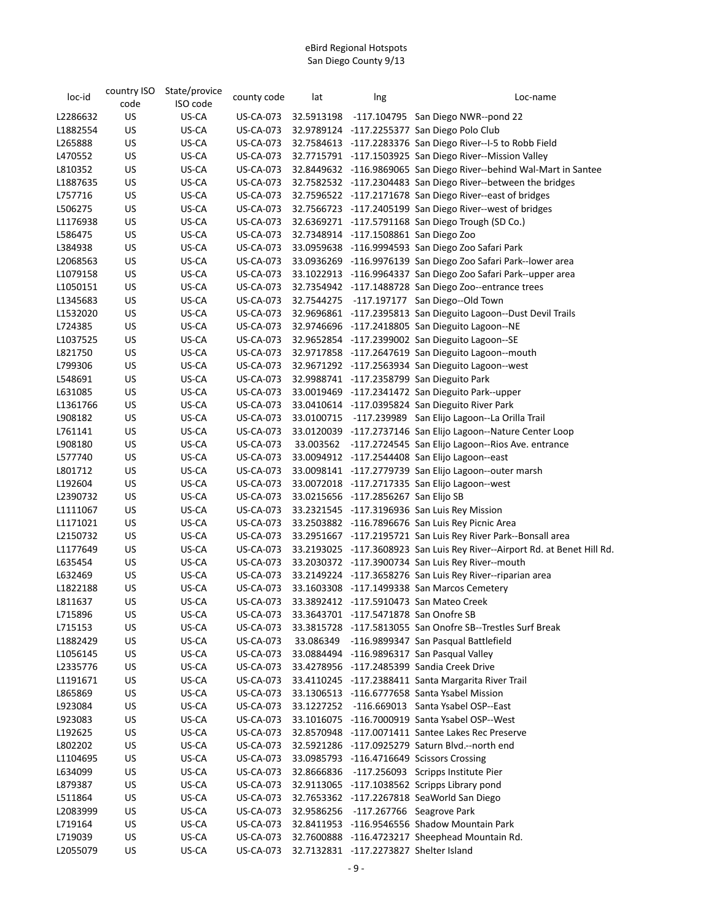| loc-id   | country ISO | State/provice | county code      | lat        | Ing                                    | Loc-name                                                                  |
|----------|-------------|---------------|------------------|------------|----------------------------------------|---------------------------------------------------------------------------|
|          | code        | ISO code      |                  |            |                                        |                                                                           |
| L2286632 | US          | US-CA         | <b>US-CA-073</b> |            |                                        | 32.5913198 -117.104795 San Diego NWR--pond 22                             |
| L1882554 | US          | US-CA         | <b>US-CA-073</b> |            |                                        | 32.9789124 -117.2255377 San Diego Polo Club                               |
| L265888  | US          | US-CA         | <b>US-CA-073</b> |            |                                        | 32.7584613 -117.2283376 San Diego River--I-5 to Robb Field                |
| L470552  | US          | US-CA         | <b>US-CA-073</b> |            |                                        | 32.7715791 -117.1503925 San Diego River--Mission Valley                   |
| L810352  | US          | US-CA         | <b>US-CA-073</b> |            |                                        | 32.8449632 -116.9869065 San Diego River--behind Wal-Mart in Santee        |
| L1887635 | US          | US-CA         | <b>US-CA-073</b> |            |                                        | 32.7582532 -117.2304483 San Diego River--between the bridges              |
| L757716  | US          | US-CA         | <b>US-CA-073</b> |            |                                        | 32.7596522 -117.2171678 San Diego River--east of bridges                  |
| L506275  | US          | US-CA         | <b>US-CA-073</b> |            |                                        | 32.7566723 -117.2405199 San Diego River--west of bridges                  |
| L1176938 | US          | US-CA         | <b>US-CA-073</b> |            |                                        | 32.6369271 -117.5791168 San Diego Trough (SD Co.)                         |
| L586475  | US          | US-CA         | <b>US-CA-073</b> |            | 32.7348914 -117.1508861 San Diego Zoo  |                                                                           |
| L384938  | US          | US-CA         | <b>US-CA-073</b> |            |                                        | 33.0959638 -116.9994593 San Diego Zoo Safari Park                         |
| L2068563 | US          | US-CA         | <b>US-CA-073</b> |            |                                        | 33.0936269 -116.9976139 San Diego Zoo Safari Park--lower area             |
| L1079158 | US          | US-CA         | <b>US-CA-073</b> |            |                                        | 33.1022913 -116.9964337 San Diego Zoo Safari Park--upper area             |
| L1050151 | US          | US-CA         | <b>US-CA-073</b> |            |                                        | 32.7354942 -117.1488728 San Diego Zoo--entrance trees                     |
| L1345683 | US          | US-CA         | <b>US-CA-073</b> |            |                                        | 32.7544275 -117.197177 San Diego--Old Town                                |
| L1532020 | US          | US-CA         | <b>US-CA-073</b> |            |                                        | 32.9696861 -117.2395813 San Dieguito Lagoon--Dust Devil Trails            |
| L724385  | US          | US-CA         | <b>US-CA-073</b> |            |                                        | 32.9746696 -117.2418805 San Dieguito Lagoon--NE                           |
| L1037525 | US          | US-CA         | <b>US-CA-073</b> |            |                                        | 32.9652854 -117.2399002 San Dieguito Lagoon--SE                           |
| L821750  | US          | US-CA         | <b>US-CA-073</b> |            |                                        | 32.9717858 -117.2647619 San Dieguito Lagoon--mouth                        |
| L799306  | US          | US-CA         | <b>US-CA-073</b> |            |                                        | 32.9671292 -117.2563934 San Dieguito Lagoon--west                         |
| L548691  | US          | US-CA         | <b>US-CA-073</b> |            |                                        | 32.9988741 -117.2358799 San Dieguito Park                                 |
| L631085  | US          | US-CA         | <b>US-CA-073</b> |            |                                        | 33.0019469 -117.2341472 San Dieguito Park--upper                          |
| L1361766 | US          | US-CA         | <b>US-CA-073</b> |            |                                        | 33.0410614 -117.0395824 San Dieguito River Park                           |
| L908182  | US          | US-CA         | <b>US-CA-073</b> | 33.0100715 |                                        | -117.239989 San Elijo Lagoon--La Orilla Trail                             |
| L761141  | US          | US-CA         | <b>US-CA-073</b> |            |                                        | 33.0120039 -117.2737146 San Elijo Lagoon--Nature Center Loop              |
| L908180  | US          | US-CA         | US-CA-073        | 33.003562  |                                        | -117.2724545 San Elijo Lagoon--Rios Ave. entrance                         |
| L577740  | US          | US-CA         | <b>US-CA-073</b> |            |                                        | 33.0094912 -117.2544408 San Elijo Lagoon--east                            |
| L801712  | US          | US-CA         | <b>US-CA-073</b> |            |                                        | 33.0098141 -117.2779739 San Elijo Lagoon--outer marsh                     |
| L192604  | US          | US-CA         | <b>US-CA-073</b> |            |                                        | 33.0072018 -117.2717335 San Elijo Lagoon--west                            |
| L2390732 | US          | US-CA         | <b>US-CA-073</b> |            | 33.0215656 -117.2856267 San Elijo SB   |                                                                           |
| L1111067 | US          | US-CA         | <b>US-CA-073</b> |            |                                        | 33.2321545 -117.3196936 San Luis Rey Mission                              |
| L1171021 | US          | US-CA         | <b>US-CA-073</b> |            |                                        | 33.2503882 -116.7896676 San Luis Rey Picnic Area                          |
| L2150732 | US          | US-CA         | <b>US-CA-073</b> |            |                                        | 33.2951667 -117.2195721 San Luis Rey River Park--Bonsall area             |
| L1177649 | US          | US-CA         | <b>US-CA-073</b> |            |                                        | 33.2193025 -117.3608923 San Luis Rey River--Airport Rd. at Benet Hill Rd. |
| L635454  | US          | US-CA         | <b>US-CA-073</b> |            |                                        | 33.2030372 -117.3900734 San Luis Rey River--mouth                         |
| L632469  | US          | US-CA         | <b>US-CA-073</b> |            |                                        | 33.2149224 -117.3658276 San Luis Rey River--riparian area                 |
| L1822188 | US          | US-CA         | <b>US-CA-073</b> |            |                                        | 33.1603308 -117.1499338 San Marcos Cemetery                               |
| L811637  | US          | US-CA         | <b>US-CA-073</b> |            |                                        | 33.3892412 -117.5910473 San Mateo Creek                                   |
| L715896  | US          | US-CA         | <b>US-CA-073</b> |            | 33.3643701 -117.5471878 San Onofre SB  |                                                                           |
| L715153  | US          | US-CA         | <b>US-CA-073</b> |            |                                        | 33.3815728 -117.5813055 San Onofre SB--Trestles Surf Break                |
| L1882429 | US          | US-CA         | US-CA-073        |            |                                        | 33.086349 -116.9899347 San Pasqual Battlefield                            |
| L1056145 | US          | US-CA         | US-CA-073        |            |                                        | 33.0884494 -116.9896317 San Pasqual Valley                                |
| L2335776 | US          | US-CA         | US-CA-073        |            |                                        | 33.4278956 -117.2485399 Sandia Creek Drive                                |
| L1191671 | US          | US-CA         | <b>US-CA-073</b> |            |                                        | 33.4110245 -117.2388411 Santa Margarita River Trail                       |
| L865869  | US          | US-CA         | <b>US-CA-073</b> |            |                                        | 33.1306513 -116.6777658 Santa Ysabel Mission                              |
| L923084  | US          | US-CA         | US-CA-073        | 33.1227252 |                                        | -116.669013 Santa Ysabel OSP--East                                        |
| L923083  | US          | US-CA         | <b>US-CA-073</b> |            |                                        | 33.1016075 -116.7000919 Santa Ysabel OSP--West                            |
| L192625  | US          | US-CA         | US-CA-073        |            |                                        | 32.8570948 -117.0071411 Santee Lakes Rec Preserve                         |
| L802202  | US          | US-CA         | US-CA-073        |            |                                        | 32.5921286 -117.0925279 Saturn Blvd.--north end                           |
| L1104695 | US          | US-CA         | US-CA-073        |            |                                        | 33.0985793 -116.4716649 Scissors Crossing                                 |
| L634099  | US          | US-CA         | US-CA-073        | 32.8666836 |                                        | -117.256093 Scripps Institute Pier                                        |
| L879387  | US          | US-CA         | <b>US-CA-073</b> |            |                                        | 32.9113065 -117.1038562 Scripps Library pond                              |
| L511864  | US          | US-CA         | <b>US-CA-073</b> |            |                                        | 32.7653362 -117.2267818 SeaWorld San Diego                                |
| L2083999 | US          | US-CA         | <b>US-CA-073</b> |            | 32.9586256 -117.267766 Seagrove Park   |                                                                           |
| L719164  | US          | US-CA         | US-CA-073        |            |                                        | 32.8411953 -116.9546556 Shadow Mountain Park                              |
| L719039  | US          | US-CA         | <b>US-CA-073</b> |            |                                        | 32.7600888 -116.4723217 Sheephead Mountain Rd.                            |
| L2055079 | US          | US-CA         | US-CA-073        |            | 32.7132831 -117.2273827 Shelter Island |                                                                           |
|          |             |               |                  |            |                                        |                                                                           |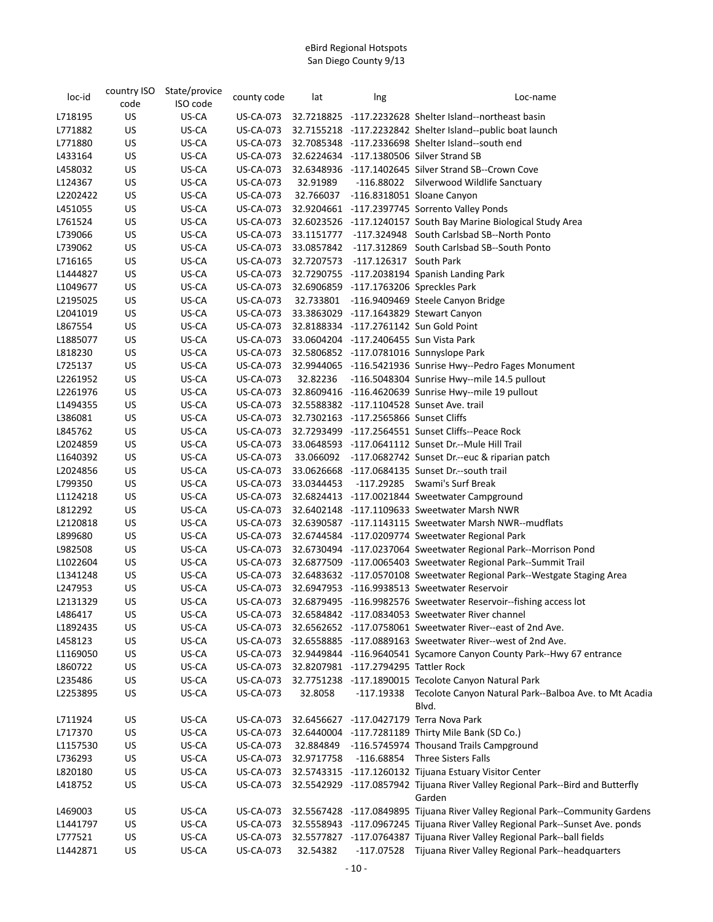| loc-id   | country ISO<br>code | State/provice<br>ISO code | county code      | lat        | Ing                                    | Loc-name                                                                       |
|----------|---------------------|---------------------------|------------------|------------|----------------------------------------|--------------------------------------------------------------------------------|
| L718195  | US                  | US-CA                     | US-CA-073        |            |                                        | 32.7218825 -117.2232628 Shelter Island--northeast basin                        |
| L771882  | US                  | US-CA                     | <b>US-CA-073</b> |            |                                        | 32.7155218 -117.2232842 Shelter Island--public boat launch                     |
| L771880  | US                  | US-CA                     | <b>US-CA-073</b> |            |                                        | 32.7085348 -117.2336698 Shelter Island--south end                              |
| L433164  | US                  | US-CA                     | <b>US-CA-073</b> |            |                                        | 32.6224634 -117.1380506 Silver Strand SB                                       |
| L458032  | US                  | US-CA                     | <b>US-CA-073</b> |            |                                        | 32.6348936 -117.1402645 Silver Strand SB--Crown Cove                           |
| L124367  | US                  | US-CA                     | <b>US-CA-073</b> | 32.91989   |                                        | -116.88022 Silverwood Wildlife Sanctuary                                       |
| L2202422 | US                  | US-CA                     | <b>US-CA-073</b> | 32.766037  |                                        | -116.8318051 Sloane Canyon                                                     |
| L451055  | <b>US</b>           | US-CA                     | <b>US-CA-073</b> |            |                                        | 32.9204661 -117.2397745 Sorrento Valley Ponds                                  |
| L761524  | US                  | US-CA                     | <b>US-CA-073</b> |            |                                        | 32.6023526 -117.1240157 South Bay Marine Biological Study Area                 |
| L739066  | US                  | US-CA                     | <b>US-CA-073</b> |            |                                        | 33.1151777 -117.324948 South Carlsbad SB--North Ponto                          |
| L739062  | US                  | US-CA                     | <b>US-CA-073</b> |            |                                        | 33.0857842 -117.312869 South Carlsbad SB--South Ponto                          |
| L716165  | US                  | US-CA                     | <b>US-CA-073</b> |            | 32.7207573 -117.126317 South Park      |                                                                                |
| L1444827 | US                  | US-CA                     | <b>US-CA-073</b> |            |                                        | 32.7290755 -117.2038194 Spanish Landing Park                                   |
| L1049677 | US                  | US-CA                     | <b>US-CA-073</b> |            |                                        | 32.6906859 -117.1763206 Spreckles Park                                         |
| L2195025 | US                  | US-CA                     | <b>US-CA-073</b> |            |                                        | 32.733801 -116.9409469 Steele Canyon Bridge                                    |
| L2041019 | US                  | US-CA                     | US-CA-073        |            |                                        | 33.3863029 -117.1643829 Stewart Canyon                                         |
| L867554  | US                  | US-CA                     | <b>US-CA-073</b> |            |                                        | 32.8188334 -117.2761142 Sun Gold Point                                         |
| L1885077 | US                  | US-CA                     | US-CA-073        |            | 33.0604204 -117.2406455 Sun Vista Park |                                                                                |
| L818230  | US                  | US-CA                     | <b>US-CA-073</b> |            |                                        | 32.5806852 -117.0781016 Sunnyslope Park                                        |
| L725137  | US                  | US-CA                     | <b>US-CA-073</b> |            |                                        | 32.9944065 -116.5421936 Sunrise Hwy--Pedro Fages Monument                      |
| L2261952 | US                  | US-CA                     | <b>US-CA-073</b> |            |                                        | 32.82236 -116.5048304 Sunrise Hwy--mile 14.5 pullout                           |
| L2261976 | US                  | US-CA                     | <b>US-CA-073</b> |            |                                        | 32.8609416 -116.4620639 Sunrise Hwy--mile 19 pullout                           |
| L1494355 | US                  | US-CA                     | <b>US-CA-073</b> |            |                                        | 32.5588382 -117.1104528 Sunset Ave. trail                                      |
| L386081  | US                  | US-CA                     | <b>US-CA-073</b> |            | 32.7302163 -117.2565866 Sunset Cliffs  |                                                                                |
| L845762  | US                  | US-CA                     | <b>US-CA-073</b> |            |                                        | 32.7293499 -117.2564551 Sunset Cliffs--Peace Rock                              |
| L2024859 | US                  | US-CA                     | US-CA-073        |            |                                        | 33.0648593 -117.0641112 Sunset Dr.--Mule Hill Trail                            |
| L1640392 | US                  | US-CA                     | <b>US-CA-073</b> |            |                                        | 33.066092 -117.0682742 Sunset Dr.--euc & riparian patch                        |
| L2024856 | US                  | US-CA                     | <b>US-CA-073</b> |            |                                        | 33.0626668 -117.0684135 Sunset Dr.--south trail                                |
| L799350  | US                  | US-CA                     | <b>US-CA-073</b> | 33.0344453 |                                        | -117.29285 Swami's Surf Break                                                  |
| L1124218 | US                  | US-CA                     | <b>US-CA-073</b> |            |                                        | 32.6824413 -117.0021844 Sweetwater Campground                                  |
| L812292  | US                  | US-CA                     | <b>US-CA-073</b> |            |                                        | 32.6402148 -117.1109633 Sweetwater Marsh NWR                                   |
| L2120818 | US                  | US-CA                     | US-CA-073        |            |                                        | 32.6390587 -117.1143115 Sweetwater Marsh NWR--mudflats                         |
| L899680  | US                  | US-CA                     | <b>US-CA-073</b> |            |                                        | 32.6744584 -117.0209774 Sweetwater Regional Park                               |
| L982508  | US                  | US-CA                     | <b>US-CA-073</b> |            |                                        | 32.6730494 -117.0237064 Sweetwater Regional Park--Morrison Pond                |
| L1022604 | US                  | US-CA                     | <b>US-CA-073</b> |            |                                        | 32.6877509 -117.0065403 Sweetwater Regional Park--Summit Trail                 |
| L1341248 | US                  | US-CA                     | US-CA-073        |            |                                        | 32.6483632 -117.0570108 Sweetwater Regional Park--Westgate Staging Area        |
| L247953  | US                  | US-CA                     | US-CA-073        |            |                                        | 32.6947953 -116.9938513 Sweetwater Reservoir                                   |
| L2131329 | US                  | US-CA                     |                  |            |                                        | US-CA-073 32.6879495 -116.9982576 Sweetwater Reservoir--fishing access lot     |
| L486417  | US                  | US-CA                     | US-CA-073        |            |                                        | 32.6584842 -117.0834053 Sweetwater River channel                               |
| L1892435 | US                  | US-CA                     | US-CA-073        |            |                                        | 32.6562652 -117.0758061 Sweetwater River--east of 2nd Ave.                     |
| L458123  | US                  | US-CA                     | US-CA-073        |            |                                        | 32.6558885 -117.0889163 Sweetwater River--west of 2nd Ave.                     |
| L1169050 | US                  | US-CA                     | <b>US-CA-073</b> |            |                                        | 32.9449844 -116.9640541 Sycamore Canyon County Park--Hwy 67 entrance           |
| L860722  | US                  | US-CA                     | <b>US-CA-073</b> |            | 32.8207981 -117.2794295 Tattler Rock   |                                                                                |
| L235486  | US                  | US-CA                     | <b>US-CA-073</b> |            |                                        | 32.7751238 -117.1890015 Tecolote Canyon Natural Park                           |
| L2253895 | US                  | US-CA                     | <b>US-CA-073</b> | 32.8058    |                                        | -117.19338 Tecolote Canyon Natural Park--Balboa Ave. to Mt Acadia<br>Blvd.     |
| L711924  | US                  | US-CA                     | <b>US-CA-073</b> |            |                                        | 32.6456627 -117.0427179 Terra Nova Park                                        |
| L717370  | US                  | US-CA                     | <b>US-CA-073</b> |            |                                        | 32.6440004 -117.7281189 Thirty Mile Bank (SD Co.)                              |
| L1157530 | US                  | US-CA                     | <b>US-CA-073</b> |            |                                        | 32.884849 -116.5745974 Thousand Trails Campground                              |
| L736293  | US                  | US-CA                     | <b>US-CA-073</b> | 32.9717758 |                                        | -116.68854 Three Sisters Falls                                                 |
| L820180  | US                  | US-CA                     | <b>US-CA-073</b> |            |                                        | 32.5743315 -117.1260132 Tijuana Estuary Visitor Center                         |
| L418752  | US                  | US-CA                     | <b>US-CA-073</b> |            |                                        | 32.5542929 -117.0857942 Tijuana River Valley Regional Park--Bird and Butterfly |
|          |                     |                           |                  |            |                                        | Garden                                                                         |
| L469003  | US                  | US-CA                     | <b>US-CA-073</b> |            |                                        | 32.5567428 -117.0849895 Tijuana River Valley Regional Park--Community Gardens  |
| L1441797 | US                  | US-CA                     | <b>US-CA-073</b> |            |                                        | 32.5558943 -117.0967245 Tijuana River Valley Regional Park--Sunset Ave. ponds  |
| L777521  | US                  | US-CA                     | US-CA-073        |            |                                        | 32.5577827 -117.0764387 Tijuana River Valley Regional Park--ball fields        |
| L1442871 | US                  | US-CA                     | <b>US-CA-073</b> | 32.54382   |                                        | -117.07528 Tijuana River Valley Regional Park--headquarters                    |